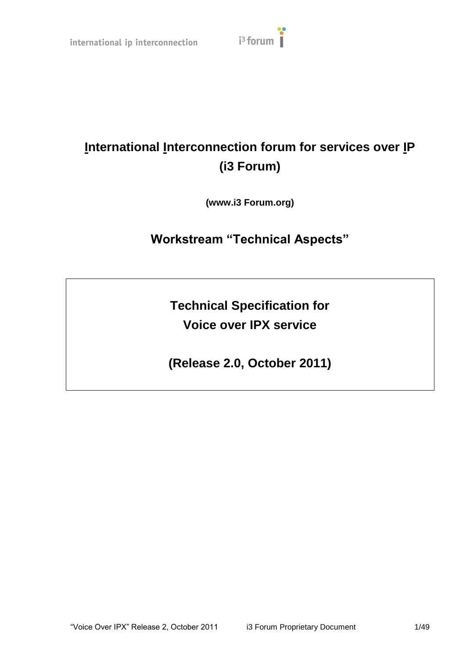

# **International Interconnection forum for services over IP (i3 Forum)**

**(www.i3 Forum.org)**

# **Workstream "Technical Aspects"**

**Technical Specification for Voice over IPX service**

**(Release 2.0, October 2011)**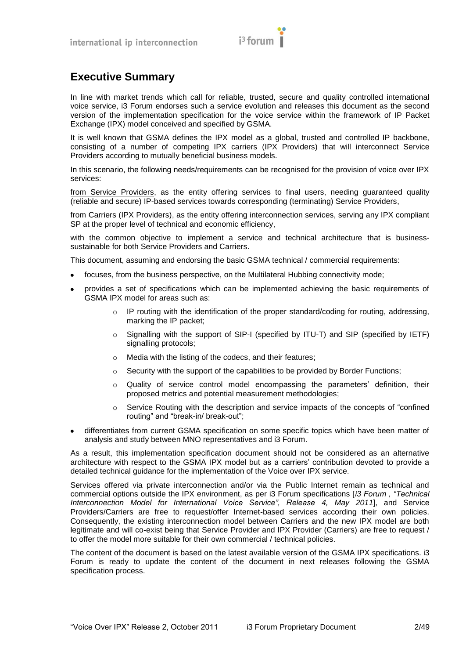

# <span id="page-1-0"></span>**Executive Summary**

In line with market trends which call for reliable, trusted, secure and quality controlled international voice service, i3 Forum endorses such a service evolution and releases this document as the second version of the implementation specification for the voice service within the framework of IP Packet Exchange (IPX) model conceived and specified by GSMA.

It is well known that GSMA defines the IPX model as a global, trusted and controlled IP backbone, consisting of a number of competing IPX carriers (IPX Providers) that will interconnect Service Providers according to mutually beneficial business models.

In this scenario, the following needs/requirements can be recognised for the provision of voice over IPX services:

from Service Providers, as the entity offering services to final users, needing guaranteed quality (reliable and secure) IP-based services towards corresponding (terminating) Service Providers,

from Carriers (IPX Providers), as the entity offering interconnection services, serving any IPX compliant SP at the proper level of technical and economic efficiency,

with the common objective to implement a service and technical architecture that is businesssustainable for both Service Providers and Carriers.

This document, assuming and endorsing the basic GSMA technical / commercial requirements:

- focuses, from the business perspective, on the Multilateral Hubbing connectivity mode;
- provides a set of specifications which can be implemented achieving the basic requirements of  $\bullet$ GSMA IPX model for areas such as:
	- $\circ$  IP routing with the identification of the proper standard/coding for routing, addressing, marking the IP packet;
	- o Signalling with the support of SIP-I (specified by ITU-T) and SIP (specified by IETF) signalling protocols;
	- o Media with the listing of the codecs, and their features;
	- $\circ$  Security with the support of the capabilities to be provided by Border Functions;
	- o Quality of service control model encompassing the parameters' definition, their proposed metrics and potential measurement methodologies;
	- $\circ$  Service Routing with the description and service impacts of the concepts of "confined routing" and "break-in/ break-out";
- differentiates from current GSMA specification on some specific topics which have been matter of analysis and study between MNO representatives and i3 Forum.

As a result, this implementation specification document should not be considered as an alternative architecture with respect to the GSMA IPX model but as a carriers' contribution devoted to provide a detailed technical guidance for the implementation of the Voice over IPX service.

Services offered via private interconnection and/or via the Public Internet remain as technical and commercial options outside the IPX environment, as per i3 Forum specifications [*i3 Forum , "Technical Interconnection Model for International Voice Service", Release 4, May 2011*], and Service Providers/Carriers are free to request/offer Internet-based services according their own policies. Consequently, the existing interconnection model between Carriers and the new IPX model are both legitimate and will co-exist being that Service Provider and IPX Provider (Carriers) are free to request / to offer the model more suitable for their own commercial / technical policies.

The content of the document is based on the latest available version of the GSMA IPX specifications. i3 Forum is ready to update the content of the document in next releases following the GSMA specification process.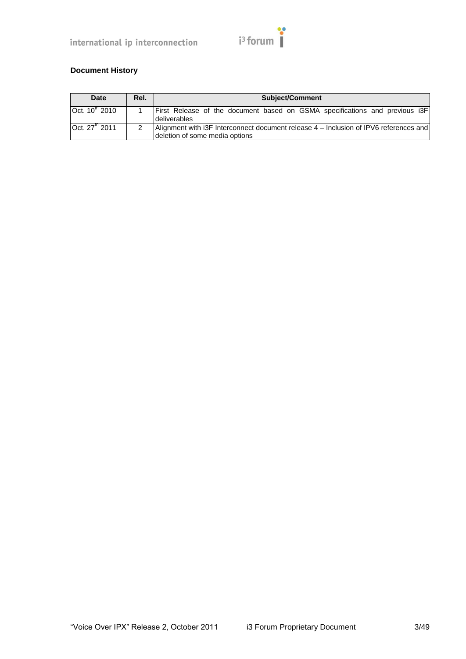

# **Document History**

| Date                      | Rel. | <b>Subject/Comment</b>                                                                                                  |
|---------------------------|------|-------------------------------------------------------------------------------------------------------------------------|
| Oct. $10^{th}$ 2010       |      | First Release of the document based on GSMA specifications and previous i3F<br>deliverables                             |
| Oct. $27^{\text{m}}$ 2011 |      | Alignment with i3F Interconnect document release 4 – Inclusion of IPV6 references and<br>deletion of some media options |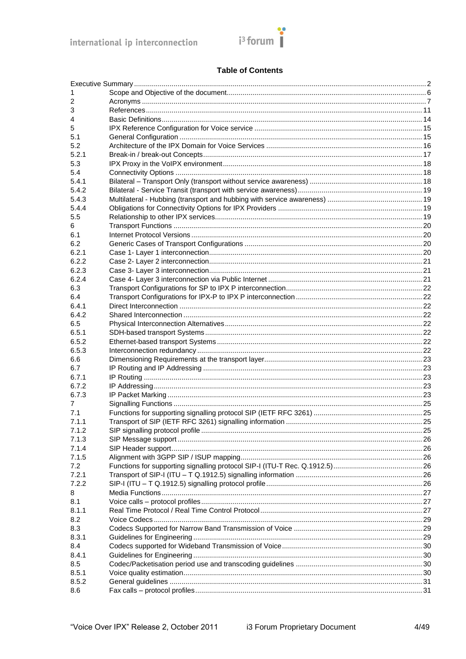

#### **Table of Contents**

| 1        |  |
|----------|--|
| 2        |  |
| 3        |  |
| 4        |  |
| 5        |  |
| 5.1      |  |
| 5.2      |  |
| 5.2.1    |  |
| 5.3      |  |
| 5.4      |  |
| 5.4.1    |  |
| 5.4.2    |  |
| 5.4.3    |  |
| 5.4.4    |  |
| 5.5      |  |
| 6        |  |
| 6.1      |  |
| 6.2      |  |
| 6.2.1    |  |
| 6.2.2    |  |
| 6.2.3    |  |
| 6.2.4    |  |
| 6.3      |  |
| 6.4      |  |
| 6.4.1    |  |
| 6.4.2    |  |
| 6.5      |  |
| 6.5.1    |  |
| 6.5.2    |  |
| 6.5.3    |  |
| 6.6      |  |
| 6.7      |  |
| 6.7.1    |  |
| 6.7.2    |  |
| 6.7.3    |  |
| 7<br>7.1 |  |
| 7.1.1    |  |
| 7.1.2    |  |
| 7.1.3    |  |
| 7.1.4    |  |
| 7.1.5    |  |
| 7.2      |  |
| 7.2.1    |  |
| 7.2.2    |  |
| 8        |  |
| 8.1      |  |
| 8.1.1    |  |
| 8.2      |  |
| 8.3      |  |
| 8.3.1    |  |
| 8.4      |  |
| 8.4.1    |  |
| 8.5      |  |
| 8.5.1    |  |
| 8.5.2    |  |
| 8.6      |  |
|          |  |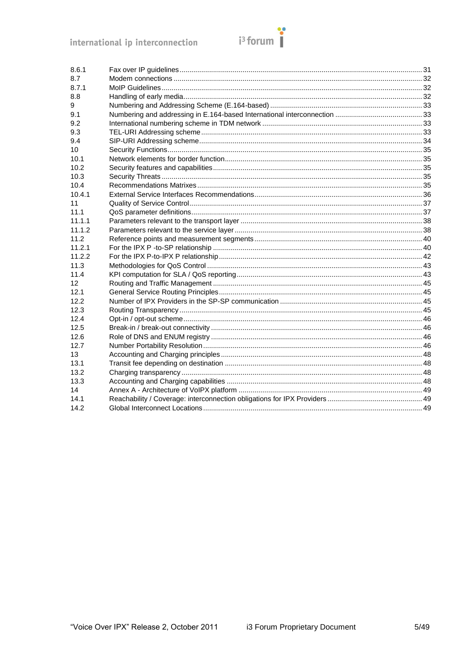

| 8.6.1           |  |
|-----------------|--|
| 8.7             |  |
| 8.7.1           |  |
| 8.8             |  |
| 9               |  |
| 9.1             |  |
| 9.2             |  |
| 9.3             |  |
| 9.4             |  |
| 10              |  |
| 10.1            |  |
| 10.2            |  |
| 10.3            |  |
| 10.4            |  |
| 10.4.1          |  |
| 11              |  |
| 11.1            |  |
| 11.1.1          |  |
| 11.1.2          |  |
| 11.2            |  |
| 11.2.1          |  |
| 11.2.2          |  |
| 11.3            |  |
| 11.4            |  |
| 12 <sup>2</sup> |  |
| 12.1            |  |
| 12.2            |  |
| 12.3            |  |
| 12.4            |  |
| 12.5            |  |
| 12.6            |  |
| 12.7            |  |
| 13              |  |
| 13.1            |  |
| 13.2            |  |
| 13.3            |  |
| 14              |  |
| 14.1            |  |
| 14.2            |  |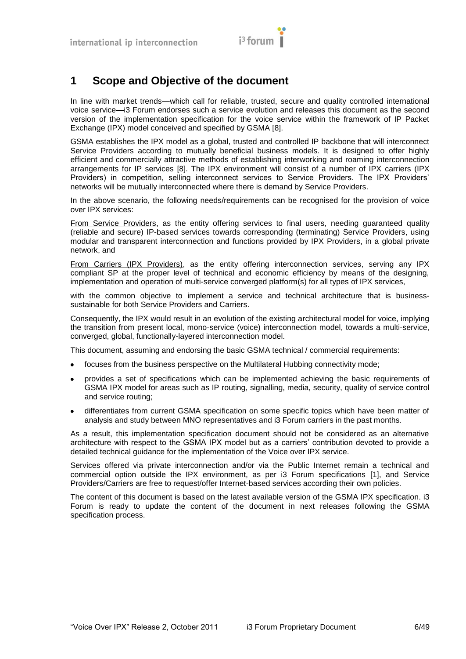

# <span id="page-5-0"></span>**1 Scope and Objective of the document**

In line with market trends—which call for reliable, trusted, secure and quality controlled international voice service—i3 Forum endorses such a service evolution and releases this document as the second version of the implementation specification for the voice service within the framework of IP Packet Exchange (IPX) model conceived and specified by GSMA [\[8\].](#page-10-1)

GSMA establishes the IPX model as a global, trusted and controlled IP backbone that will interconnect Service Providers according to mutually beneficial business models. It is designed to offer highly efficient and commercially attractive methods of establishing interworking and roaming interconnection arrangements for IP services [\[8\].](#page-10-1) The IPX environment will consist of a number of IPX carriers (IPX Providers) in competition, selling interconnect services to Service Providers. The IPX Providers' networks will be mutually interconnected where there is demand by Service Providers.

In the above scenario, the following needs/requirements can be recognised for the provision of voice over IPX services:

From Service Providers, as the entity offering services to final users, needing guaranteed quality (reliable and secure) IP-based services towards corresponding (terminating) Service Providers, using modular and transparent interconnection and functions provided by IPX Providers, in a global private network, and

From Carriers (IPX Providers), as the entity offering interconnection services, serving any IPX compliant SP at the proper level of technical and economic efficiency by means of the designing, implementation and operation of multi-service converged platform(s) for all types of IPX services,

with the common objective to implement a service and technical architecture that is businesssustainable for both Service Providers and Carriers.

Consequently, the IPX would result in an evolution of the existing architectural model for voice, implying the transition from present local, mono-service (voice) interconnection model, towards a multi-service, converged, global, functionally-layered interconnection model.

This document, assuming and endorsing the basic GSMA technical / commercial requirements:

- focuses from the business perspective on the Multilateral Hubbing connectivity mode;  $\bullet$
- provides a set of specifications which can be implemented achieving the basic requirements of  $\bullet$ GSMA IPX model for areas such as IP routing, signalling, media, security, quality of service control and service routing;
- differentiates from current GSMA specification on some specific topics which have been matter of analysis and study between MNO representatives and i3 Forum carriers in the past months.

As a result, this implementation specification document should not be considered as an alternative architecture with respect to the GSMA IPX model but as a carriers' contribution devoted to provide a detailed technical guidance for the implementation of the Voice over IPX service.

Services offered via private interconnection and/or via the Public Internet remain a technical and commercial option outside the IPX environment, as per i3 Forum specifications [\[1\],](#page-10-2) and Service Providers/Carriers are free to request/offer Internet-based services according their own policies.

The content of this document is based on the latest available version of the GSMA IPX specification. i3 Forum is ready to update the content of the document in next releases following the GSMA specification process.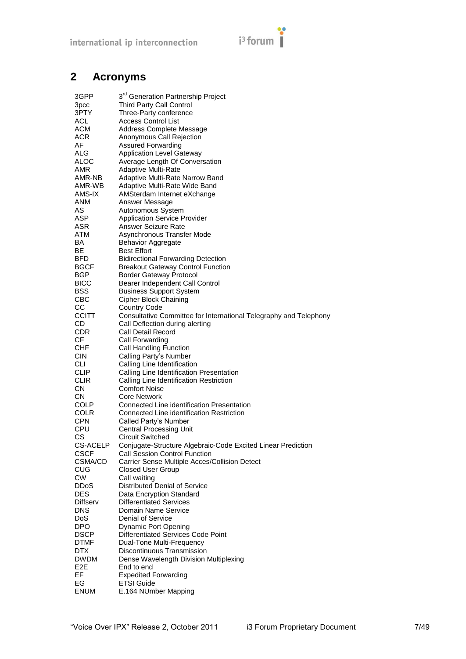# $i<sup>3</sup>$  forum

# <span id="page-6-0"></span>**2 Acronyms**

| 3GPP                     | 3 <sup>rd</sup> Generation Partnership Project                                                       |
|--------------------------|------------------------------------------------------------------------------------------------------|
| 3pcc                     | <b>Third Party Call Control</b>                                                                      |
| 3PTY                     | Three-Party conference                                                                               |
| <b>ACL</b>               | Access Control List                                                                                  |
| ACM                      | Address Complete Message                                                                             |
| ACR                      | Anonymous Call Rejection                                                                             |
| AF                       | Assured Forwarding                                                                                   |
| ALG                      | <b>Application Level Gateway</b>                                                                     |
| ALOC                     | Average Length Of Conversation                                                                       |
| AMR                      | <b>Adaptive Multi-Rate</b>                                                                           |
| AMR-NB                   | Adaptive Multi-Rate Narrow Band                                                                      |
| AMR-WB<br>AMS-IX         | Adaptive Multi-Rate Wide Band<br>AMSterdam Internet eXchange                                         |
| ANM                      | Answer Message                                                                                       |
| AS                       | Autonomous System                                                                                    |
| ASP                      | <b>Application Service Provider</b>                                                                  |
| ASR                      | Answer Seizure Rate                                                                                  |
| ATM                      | Asynchronous Transfer Mode                                                                           |
| BA                       | <b>Behavior Aggregate</b>                                                                            |
| ВE                       | <b>Best Effort</b>                                                                                   |
| BFD                      | <b>Bidirectional Forwarding Detection</b>                                                            |
| <b>BGCF</b>              | <b>Breakout Gateway Control Function</b>                                                             |
| <b>BGP</b>               | <b>Border Gateway Protocol</b>                                                                       |
| <b>BICC</b>              | Bearer Independent Call Control                                                                      |
| BSS                      | <b>Business Support System</b>                                                                       |
| CBC                      | <b>Cipher Block Chaining</b>                                                                         |
| CС<br><b>CCITT</b>       | <b>Country Code</b>                                                                                  |
| CD                       | Consultative Committee for International Telegraphy and Telephony<br>Call Deflection during alerting |
| <b>CDR</b>               | Call Detail Record                                                                                   |
| CF.                      | Call Forwarding                                                                                      |
| <b>CHF</b>               | Call Handling Function                                                                               |
| <b>CIN</b>               | Calling Party's Number                                                                               |
| CLI                      | Calling Line Identification                                                                          |
| <b>CLIP</b>              | Calling Line Identification Presentation                                                             |
| <b>CLIR</b>              | Calling Line Identification Restriction                                                              |
| CN                       | <b>Comfort Noise</b>                                                                                 |
| CN                       | <b>Core Network</b>                                                                                  |
| <b>COLP</b>              | Connected Line identification Presentation                                                           |
| <b>COLR</b>              | Connected Line identification Restriction                                                            |
| <b>CPN</b>               | Called Party's Number                                                                                |
| CPU                      | <b>Central Processing Unit</b>                                                                       |
| СS<br><b>CS-ACELP</b>    | <b>Circuit Switched</b>                                                                              |
| <b>CSCF</b>              | Conjugate-Structure Algebraic-Code Excited Linear Prediction<br><b>Call Session Control Function</b> |
| CSMA/CD                  | Carrier Sense Multiple Acces/Collision Detect                                                        |
| <b>CUG</b>               | <b>Closed User Group</b>                                                                             |
| <b>CW</b>                | Call waiting                                                                                         |
| <b>DDoS</b>              | <b>Distributed Denial of Service</b>                                                                 |
| <b>DES</b>               | Data Encryption Standard                                                                             |
| Diffserv                 | <b>Differentiated Services</b>                                                                       |
| <b>DNS</b>               | Domain Name Service                                                                                  |
| <b>DoS</b>               | Denial of Service                                                                                    |
| <b>DPO</b>               | <b>Dynamic Port Opening</b>                                                                          |
| <b>DSCP</b>              | <b>Differentiated Services Code Point</b>                                                            |
| <b>DTMF</b>              | Dual-Tone Multi-Frequency                                                                            |
| <b>DTX</b>               | Discontinuous Transmission                                                                           |
| DWDM<br>E <sub>2</sub> E | Dense Wavelength Division Multiplexing<br>End to end                                                 |
| EF                       | <b>Expedited Forwarding</b>                                                                          |
| EG                       | <b>ETSI Guide</b>                                                                                    |
| <b>ENUM</b>              | E.164 NUmber Mapping                                                                                 |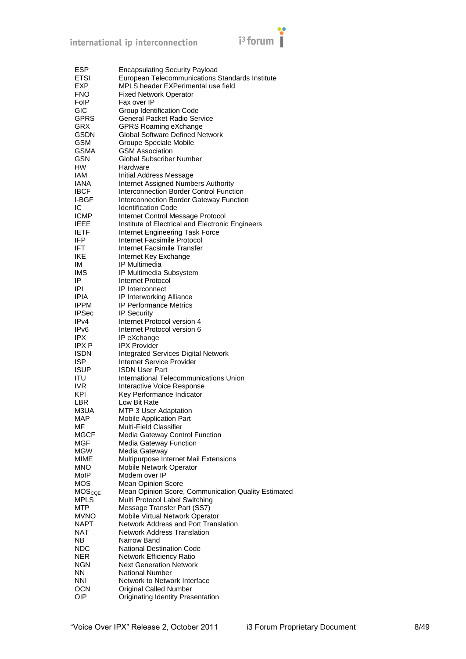

| ESP               | <b>Encapsulating Security Payload</b>               |
|-------------------|-----------------------------------------------------|
| ETSI              | European Telecommunications Standards Institute     |
|                   |                                                     |
| EXP.              | MPLS header EXPerimental use field                  |
| <b>FNO</b>        | <b>Fixed Network Operator</b>                       |
| FoIP              | Fax over IP                                         |
| GIC               | Group Identification Code                           |
| GPRS              | <b>General Packet Radio Service</b>                 |
| GRX               | GPRS Roaming eXchange                               |
| GSDN              | <b>Global Software Defined Network</b>              |
| <b>GSM</b>        | Groupe Speciale Mobile                              |
| <b>GSMA</b>       | <b>GSM Association</b>                              |
| GSN               | Global Subscriber Number                            |
| HW                | Hardware                                            |
|                   |                                                     |
| IAM               | Initial Address Message                             |
| IANA              | <b>Internet Assigned Numbers Authority</b>          |
| <b>IBCF</b>       | Interconnection Border Control Function             |
| I-BGF             | Interconnection Border Gateway Function             |
| IC                | <b>Identification Code</b>                          |
| <b>ICMP</b>       | Internet Control Message Protocol                   |
| <b>IEEE</b>       | Institute of Electrical and Electronic Engineers    |
| <b>IETF</b>       | Internet Engineering Task Force                     |
| IFP               | Internet Facsimile Protocol                         |
| IFT               | Internet Facsimile Transfer                         |
| IKE               |                                                     |
|                   | Internet Key Exchange                               |
| ΙM                | IP Multimedia                                       |
| <b>IMS</b>        | IP Multimedia Subsystem                             |
| IP                | Internet Protocol                                   |
| IPI               | <b>IP</b> Interconnect                              |
| IPIA              | IP Interworking Alliance                            |
| <b>IPPM</b>       | <b>IP Performance Metrics</b>                       |
| <b>IPSec</b>      | IP Security                                         |
| IP <sub>V</sub> 4 | Internet Protocol version 4                         |
| IPv6              | Internet Protocol version 6                         |
| IPX               | IP eXchange                                         |
| IPX P             | <b>IPX Provider</b>                                 |
|                   |                                                     |
| <b>ISDN</b>       | <b>Integrated Services Digital Network</b>          |
| ISP               | <b>Internet Service Provider</b>                    |
| <b>ISUP</b>       | <b>ISDN User Part</b>                               |
| ITU               | International Telecommunications Union              |
| IVR.              | Interactive Voice Response                          |
| KPI               | Key Performance Indicator                           |
| LBR               | Low Bit Rate                                        |
| M3UA              | MTP 3 User Adaptation                               |
| <b>MAP</b>        | Mobile Application Part                             |
| ΜF                | Multi-Field Classifier                              |
| MGCF              | Media Gateway Control Function                      |
| MGF               |                                                     |
|                   | <b>Media Gateway Function</b>                       |
| <b>MGW</b>        | Media Gateway                                       |
| <b>MIME</b>       | Multipurpose Internet Mail Extensions               |
| <b>MNO</b>        | Mobile Network Operator                             |
| MoIP              | Modem over IP                                       |
| MOS               | <b>Mean Opinion Score</b>                           |
| <b>MOScoE</b>     | Mean Opinion Score, Communication Quality Estimated |
| <b>MPLS</b>       | Multi Protocol Label Switching                      |
| <b>MTP</b>        | Message Transfer Part (SS7)                         |
| <b>MVNO</b>       | Mobile Virtual Network Operator                     |
| NAPT              | Network Address and Port Translation                |
| NAT               | <b>Network Address Translation</b>                  |
|                   |                                                     |
| NΒ                | Narrow Band                                         |
| NDC               | <b>National Destination Code</b>                    |
| <b>NER</b>        | Network Efficiency Ratio                            |
| NGN               | <b>Next Generation Network</b>                      |
| ΝN                | National Number                                     |
| <b>NNI</b>        | Network to Network Interface                        |
| <b>OCN</b>        | <b>Original Called Number</b>                       |
| OIP               | Originating Identity Presentation                   |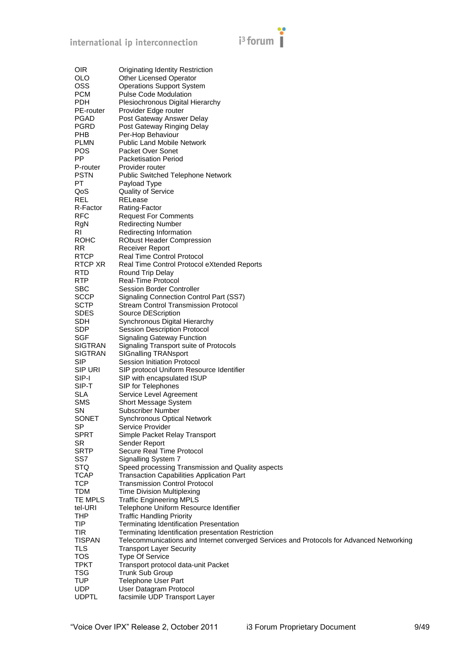

| <b>OIR</b>     | Originating Identity Restriction                                                         |
|----------------|------------------------------------------------------------------------------------------|
| <b>OLO</b>     | Other Licensed Operator                                                                  |
| <b>OSS</b>     | <b>Operations Support System</b>                                                         |
| <b>PCM</b>     | <b>Pulse Code Modulation</b>                                                             |
| <b>PDH</b>     | Plesiochronous Digital Hierarchy                                                         |
| PE-router      | Provider Edge router                                                                     |
| <b>PGAD</b>    | Post Gateway Answer Delay                                                                |
| <b>PGRD</b>    | Post Gateway Ringing Delay                                                               |
| <b>PHB</b>     | Per-Hop Behaviour                                                                        |
| <b>PLMN</b>    | <b>Public Land Mobile Network</b>                                                        |
| <b>POS</b>     | Packet Over Sonet                                                                        |
| <b>PP</b>      | <b>Packetisation Period</b>                                                              |
| P-router       | Provider router                                                                          |
| <b>PSTN</b>    | <b>Public Switched Telephone Network</b>                                                 |
| PT.            | Payload Type                                                                             |
| QoS            | <b>Quality of Service</b>                                                                |
| <b>REL</b>     | RELease                                                                                  |
| R-Factor       | Rating-Factor                                                                            |
| <b>RFC</b>     | <b>Request For Comments</b>                                                              |
| RgN            | <b>Redirecting Number</b>                                                                |
| RI             | Redirecting Information                                                                  |
| <b>ROHC</b>    | <b>RObust Header Compression</b>                                                         |
| <b>RR</b>      | <b>Receiver Report</b>                                                                   |
| <b>RTCP</b>    | <b>Real Time Control Protocol</b>                                                        |
| RTCP XR        | Real Time Control Protocol eXtended Reports                                              |
| <b>RTD</b>     | Round Trip Delay                                                                         |
| <b>RTP</b>     | Real-Time Protocol                                                                       |
| <b>SBC</b>     | Session Border Controller                                                                |
| <b>SCCP</b>    | Signaling Connection Control Part (SS7)                                                  |
| <b>SCTP</b>    | <b>Stream Control Transmission Protocol</b>                                              |
| <b>SDES</b>    | Source DEScription                                                                       |
| <b>SDH</b>     | Synchronous Digital Hierarchy                                                            |
| <b>SDP</b>     | <b>Session Description Protocol</b>                                                      |
| <b>SGF</b>     | <b>Signaling Gateway Function</b>                                                        |
| <b>SIGTRAN</b> | Signaling Transport suite of Protocols                                                   |
| <b>SIGTRAN</b> | <b>SIGnalling TRANsport</b>                                                              |
| <b>SIP</b>     | Session Initiation Protocol                                                              |
| <b>SIP URI</b> | SIP protocol Uniform Resource Identifier                                                 |
| SIP-I          | SIP with encapsulated ISUP                                                               |
| SIP-T          | SIP for Telephones                                                                       |
| <b>SLA</b>     | Service Level Agreement                                                                  |
| SMS            | Short Message System                                                                     |
| SN             | <b>Subscriber Number</b>                                                                 |
| SONET          | <b>Synchronous Optical Network</b>                                                       |
| SP             | Service Provider                                                                         |
| <b>SPRT</b>    | Simple Packet Relay Transport                                                            |
| <b>SR</b>      | Sender Report                                                                            |
| <b>SRTP</b>    | Secure Real Time Protocol                                                                |
| SS7            | Signalling System 7                                                                      |
| <b>STQ</b>     | Speed processing Transmission and Quality aspects                                        |
| <b>TCAP</b>    | <b>Transaction Capabilities Application Part</b>                                         |
| <b>TCP</b>     | <b>Transmission Control Protocol</b>                                                     |
| <b>TDM</b>     | <b>Time Division Multiplexing</b>                                                        |
| TE MPLS        | <b>Traffic Engineering MPLS</b>                                                          |
| tel-URI        | Telephone Uniform Resource Identifier                                                    |
| <b>THP</b>     | <b>Traffic Handling Priority</b>                                                         |
| <b>TIP</b>     | Terminating Identification Presentation                                                  |
| <b>TIR</b>     | Terminating Identification presentation Restriction                                      |
| <b>TISPAN</b>  | Telecommunications and Internet converged Services and Protocols for Advanced Networking |
| <b>TLS</b>     | <b>Transport Layer Security</b>                                                          |
| <b>TOS</b>     | <b>Type Of Service</b>                                                                   |
| <b>TPKT</b>    | Transport protocol data-unit Packet                                                      |
| <b>TSG</b>     | Trunk Sub Group                                                                          |
| <b>TUP</b>     | <b>Telephone User Part</b>                                                               |
| <b>UDP</b>     | User Datagram Protocol                                                                   |
| <b>UDPTL</b>   | facsimile UDP Transport Layer                                                            |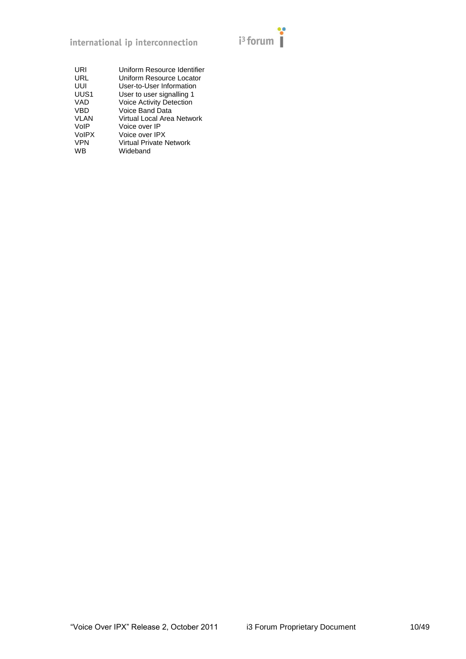

| URI          | Uniform Resource Identifier     |
|--------------|---------------------------------|
| URL          | Uniform Resource Locator        |
| UUI          | User-to-User Information        |
| UUS1         | User to user signalling 1       |
| VAD          | <b>Voice Activity Detection</b> |
| <b>VBD</b>   | Voice Band Data                 |
| <b>VLAN</b>  | Virtual Local Area Network      |
| VoIP         | Voice over IP                   |
| <b>VoIPX</b> | Voice over IPX                  |
| <b>VPN</b>   | Virtual Private Network         |
| WB           | Wideband                        |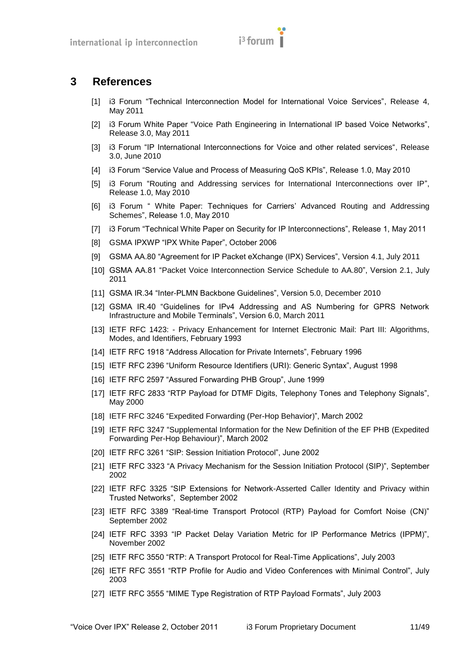

# <span id="page-10-2"></span><span id="page-10-0"></span>**3 References**

- [1] i3 Forum "Technical Interconnection Model for International Voice Services", Release 4, May 2011
- <span id="page-10-11"></span>[2] i3 Forum White Paper "Voice Path Engineering in International IP based Voice Networks", Release 3.0, May 2011
- <span id="page-10-20"></span>[3] i3 Forum "IP International Interconnections for Voice and other related services", Release 3.0, June 2010
- <span id="page-10-21"></span>[4] i3 Forum "Service Value and Process of Measuring QoS KPIs", Release 1.0, May 2010
- <span id="page-10-24"></span>[5] i3 Forum "Routing and Addressing services for International Interconnections over IP", Release 1.0, May 2010
- <span id="page-10-25"></span>[6] i3 Forum " White Paper: Techniques for Carriers' Advanced Routing and Addressing Schemes", Release 1.0, May 2010
- <span id="page-10-19"></span>[7] i3 Forum "Technical White Paper on Security for IP Interconnections", Release 1, May 2011
- <span id="page-10-1"></span>[8] GSMA IPXWP "IPX White Paper", October 2006
- <span id="page-10-3"></span>[9] GSMA AA.80 "Agreement for IP Packet eXchange (IPX) Services", Version 4.1, July 2011
- <span id="page-10-23"></span>[10] GSMA AA.81 "Packet Voice Interconnection Service Schedule to AA.80", Version 2.1, July 2011
- <span id="page-10-4"></span>[11] GSMA IR.34 "Inter-PLMN Backbone Guidelines", Version 5.0, December 2010
- <span id="page-10-5"></span>[12] GSMA IR.40 "Guidelines for IPv4 Addressing and AS Numbering for GPRS Network Infrastructure and Mobile Terminals", Version 6.0, March 2011
- <span id="page-10-16"></span>[13] IETF RFC 1423: - Privacy Enhancement for Internet Electronic Mail: Part III: Algorithms, Modes, and Identifiers, February 1993
- [14] IETF RFC 1918 "Address Allocation for Private Internets", February 1996
- <span id="page-10-18"></span>[15] IETF RFC 2396 "Uniform Resource Identifiers (URI): Generic Syntax", August 1998
- <span id="page-10-7"></span>[16] IETF RFC 2597 "Assured Forwarding PHB Group", June 1999
- <span id="page-10-15"></span>[17] IETF RFC 2833 "RTP Payload for DTMF Digits, Telephony Tones and Telephony Signals", May 2000
- <span id="page-10-6"></span>[18] IETF RFC 3246 "Expedited Forwarding (Per-Hop Behavior)", March 2002
- [19] IETF RFC 3247 "Supplemental Information for the New Definition of the EF PHB (Expedited Forwarding Per-Hop Behaviour)", March 2002
- <span id="page-10-8"></span>[20] IETF RFC 3261 "SIP: Session Initiation Protocol", June 2002
- <span id="page-10-10"></span>[21] IETF RFC 3323 "A Privacy Mechanism for the Session Initiation Protocol (SIP)", September 2002
- <span id="page-10-9"></span>[22] IETF RFC 3325 "SIP Extensions for Network-Asserted Caller Identity and Privacy within Trusted Networks‖, September 2002
- <span id="page-10-14"></span>[23] IETF RFC 3389 "Real-time Transport Protocol (RTP) Payload for Comfort Noise (CN)" September 2002
- <span id="page-10-22"></span>[24] IETF RFC 3393 "IP Packet Delay Variation Metric for IP Performance Metrics (IPPM)", November 2002
- <span id="page-10-12"></span>[25] IETF RFC 3550 "RTP: A Transport Protocol for Real-Time Applications", July 2003
- <span id="page-10-13"></span>[26] IETF RFC 3551 "RTP Profile for Audio and Video Conferences with Minimal Control", July 2003
- <span id="page-10-17"></span>[27] IETF RFC 3555 "MIME Type Registration of RTP Payload Formats", July 2003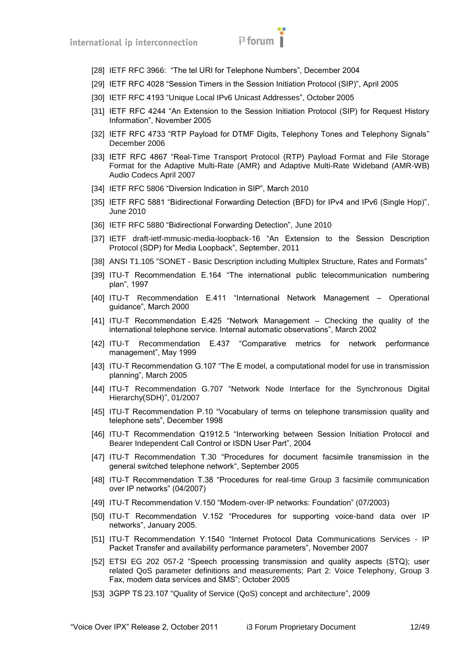

- <span id="page-11-15"></span>[28] IETF RFC 3966: "The tel URI for Telephone Numbers", December 2004
- <span id="page-11-4"></span>[29] IETF RFC 4028 "Session Timers in the Session Initiation Protocol (SIP)", April 2005
- [30] IETF RFC 4193 "Unique Local IPv6 Unicast Addresses", October 2005
- <span id="page-11-6"></span>[31] IETF RFC 4244 "An Extension to the Session Initiation Protocol (SIP) for Request History Information", November 2005
- <span id="page-11-8"></span>[32] IETF RFC 4733 "RTP Payload for DTMF Digits, Telephony Tones and Telephony Signals" December 2006
- <span id="page-11-9"></span>[33] IETF RFC 4867 "Real-Time Transport Protocol (RTP) Payload Format and File Storage Format for the Adaptive Multi-Rate (AMR) and Adaptive Multi-Rate Wideband (AMR-WB) Audio Codecs April 2007
- <span id="page-11-5"></span>[34] IETF RFC 5806 "Diversion Indication in SIP", March 2010
- <span id="page-11-2"></span>[35] IETF RFC 5881 "Bidirectional Forwarding Detection (BFD) for IPv4 and IPv6 (Single Hop)", June 2010
- [36] IETF RFC 5880 "Bidirectional Forwarding Detection", June 2010
- <span id="page-11-22"></span>[37] IETF draft-ietf-mmusic-media-loopback-16 "An Extension to the Session Description Protocol (SDP) for Media Loopback‖, September, 2011
- <span id="page-11-1"></span>[38] ANSI T1.105 "SONET - Basic Description including Multiplex Structure, Rates and Formats"
- <span id="page-11-14"></span>[39] ITU-T Recommendation E.164 "The international public telecommunication numbering plan‖, 1997
- <span id="page-11-7"></span>[40] ITU-T Recommendation E.411 "International Network Management - Operational guidance", March 2000
- <span id="page-11-21"></span>[41] ITU-T Recommendation E.425 "Network Management – Checking the quality of the international telephone service. Internal automatic observations", March 2002
- <span id="page-11-20"></span>[42] ITU-T Recommendation E.437 "Comparative metrics for network performance management", May 1999
- <span id="page-11-19"></span>[43] ITU-T Recommendation G.107 "The E model, a computational model for use in transmission planning", March 2005
- <span id="page-11-0"></span>[44] ITU-T Recommendation G.707 "Network Node Interface for the Synchronous Digital Hierarchy(SDH)", 01/2007
- <span id="page-11-18"></span>[45] ITU-T Recommendation P.10 "Vocabulary of terms on telephone transmission quality and telephone sets", December 1998
- [46] ITU-T Recommendation Q1912.5 "Interworking between Session Initiation Protocol and Bearer Independent Call Control or ISDN User Part", 2004
- <span id="page-11-10"></span>[47] ITU-T Recommendation T.30 "Procedures for document facsimile transmission in the general switched telephone network", September 2005
- <span id="page-11-11"></span>[48] ITU-T Recommendation T.38 "Procedures for real-time Group 3 facsimile communication over IP networks‖ (04/2007)
- <span id="page-11-13"></span>[49] ITU-T Recommendation V.150 "Modem-over-IP networks: Foundation" (07/2003)
- <span id="page-11-12"></span>[50] ITU-T Recommendation V.152 "Procedures for supporting voice-band data over IP networks", January 2005.
- <span id="page-11-17"></span>[51] ITU-T Recommendation Y.1540 "Internet Protocol Data Communications Services - IP Packet Transfer and availability performance parameters", November 2007
- <span id="page-11-16"></span>[52] ETSI EG 202 057-2 "Speech processing transmission and quality aspects (STQ); user related QoS parameter definitions and measurements; Part 2: Voice Telephony, Group 3 Fax, modem data services and SMS"; October 2005
- <span id="page-11-3"></span>[53] 3GPP TS 23.107 "Quality of Service (QoS) concept and architecture", 2009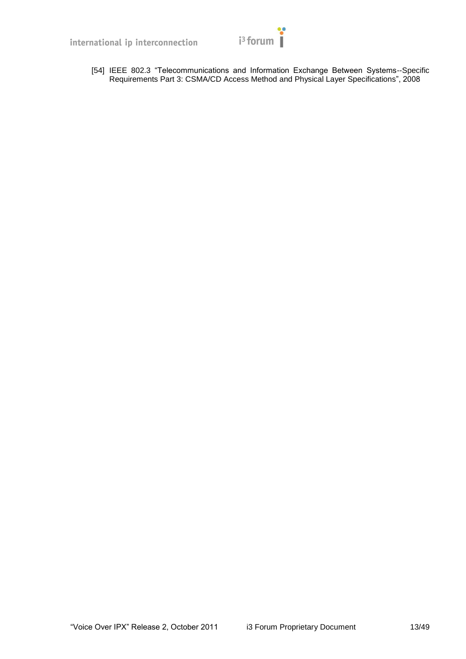

<span id="page-12-0"></span>[54] IEEE 802.3 "Telecommunications and Information Exchange Between Systems--Specific Requirements Part 3: CSMA/CD Access Method and Physical Layer Specifications", 2008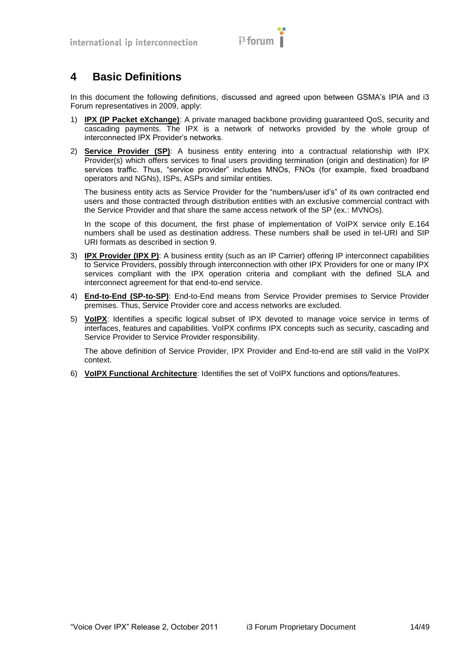

# <span id="page-13-0"></span>**4 Basic Definitions**

In this document the following definitions, discussed and agreed upon between GSMA's IPIA and i3 Forum representatives in 2009, apply:

- 1) **IPX (IP Packet eXchange)**: A private managed backbone providing guaranteed QoS, security and cascading payments. The IPX is a network of networks provided by the whole group of interconnected IPX Provider's networks.
- 2) **Service Provider (SP)**: A business entity entering into a contractual relationship with IPX Provider(s) which offers services to final users providing termination (origin and destination) for IP services traffic. Thus, "service provider" includes MNOs, FNOs (for example, fixed broadband operators and NGNs), ISPs, ASPs and similar entities.

The business entity acts as Service Provider for the "numbers/user id's" of its own contracted end users and those contracted through distribution entities with an exclusive commercial contract with the Service Provider and that share the same access network of the SP (ex.: MVNOs).

In the scope of this document, the first phase of implementation of VoIPX service only E.164 numbers shall be used as destination address. These numbers shall be used in tel-URI and SIP URI formats as described in section [9.](#page-32-0)

- 3) **IPX Provider (IPX P)**: A business entity (such as an IP Carrier) offering IP interconnect capabilities to Service Providers, possibly through interconnection with other IPX Providers for one or many IPX services compliant with the IPX operation criteria and compliant with the defined SLA and interconnect agreement for that end-to-end service.
- 4) **End-to-End (SP-to-SP)**: End-to-End means from Service Provider premises to Service Provider premises. Thus, Service Provider core and access networks are excluded.
- 5) **VoIPX**: Identifies a specific logical subset of IPX devoted to manage voice service in terms of interfaces, features and capabilities. VoIPX confirms IPX concepts such as security, cascading and Service Provider to Service Provider responsibility.

The above definition of Service Provider, IPX Provider and End-to-end are still valid in the VoIPX context.

6) **VoIPX Functional Architecture**: Identifies the set of VoIPX functions and options/features.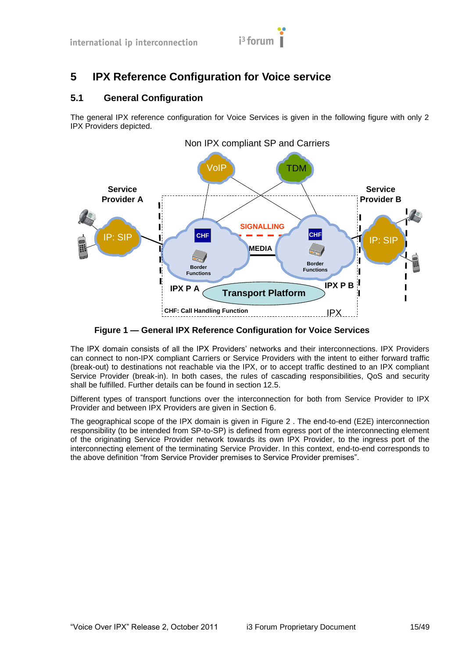

# <span id="page-14-0"></span>**5 IPX Reference Configuration for Voice service**

# <span id="page-14-1"></span>**5.1 General Configuration**

The general IPX reference configuration for Voice Services is given in the following figure with only 2 IPX Providers depicted.



**Figure 1 — General IPX Reference Configuration for Voice Services**

The IPX domain consists of all the IPX Providers' networks and their interconnections. IPX Providers can connect to non-IPX compliant Carriers or Service Providers with the intent to either forward traffic (break-out) to destinations not reachable via the IPX, or to accept traffic destined to an IPX compliant Service Provider (break-in). In both cases, the rules of cascading responsibilities, QoS and security shall be fulfilled. Further details can be found in section [12.5.](#page-45-1)

Different types of transport functions over the interconnection for both from Service Provider to IPX Provider and between IPX Providers are given in Section [6.](#page-19-0)

The geographical scope of the IPX domain is given in [Figure 2 .](#page-15-1) The end-to-end (E2E) interconnection responsibility (to be intended from SP-to-SP) is defined from egress port of the interconnecting element of the originating Service Provider network towards its own IPX Provider, to the ingress port of the interconnecting element of the terminating Service Provider. In this context, end-to-end corresponds to the above definition "from Service Provider premises to Service Provider premises".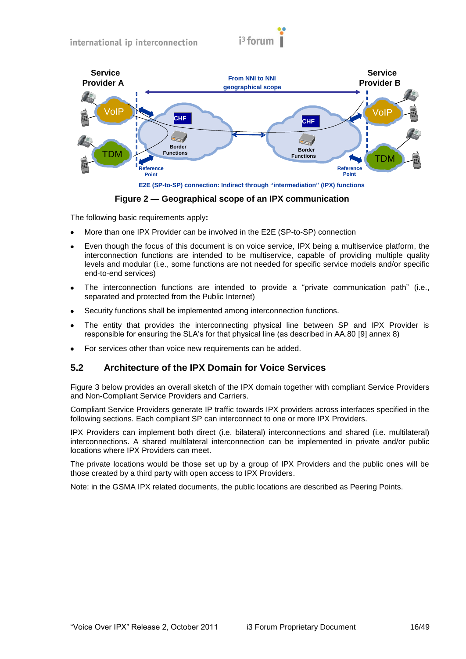



**E2E (SP-to-SP) connection: Indirect through "intermediation" (IPX) functions** 

**Figure 2 — Geographical scope of an IPX communication**

<span id="page-15-1"></span>The following basic requirements apply**:**

- More than one IPX Provider can be involved in the E2E (SP-to-SP) connection
- Even though the focus of this document is on voice service, IPX being a multiservice platform, the  $\bullet$ interconnection functions are intended to be multiservice, capable of providing multiple quality levels and modular (i.e., some functions are not needed for specific service models and/or specific end-to-end services)
- The interconnection functions are intended to provide a "private communication path" (i.e., separated and protected from the Public Internet)
- Security functions shall be implemented among interconnection functions.  $\bullet$
- The entity that provides the interconnecting physical line between SP and IPX Provider is responsible for ensuring the SLA's for that physical line (as described in AA.80 [\[9\]](#page-10-3) annex 8)
- For services other than voice new requirements can be added.

# <span id="page-15-0"></span>**5.2 Architecture of the IPX Domain for Voice Services**

[Figure 3 b](#page-16-1)elow provides an overall sketch of the IPX domain together with compliant Service Providers and Non-Compliant Service Providers and Carriers.

Compliant Service Providers generate IP traffic towards IPX providers across interfaces specified in the following sections. Each compliant SP can interconnect to one or more IPX Providers.

IPX Providers can implement both direct (i.e. bilateral) interconnections and shared (i.e. multilateral) interconnections. A shared multilateral interconnection can be implemented in private and/or public locations where IPX Providers can meet.

The private locations would be those set up by a group of IPX Providers and the public ones will be those created by a third party with open access to IPX Providers.

Note: in the GSMA IPX related documents, the public locations are described as Peering Points.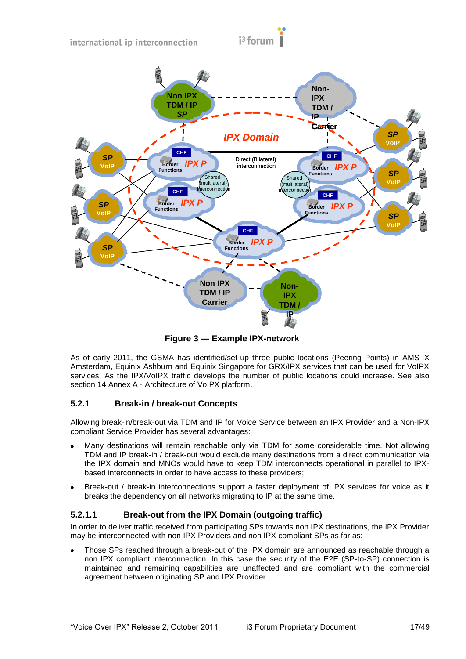

**Figure 3 — Example IPX-network**

<span id="page-16-1"></span>As of early 2011, the GSMA has identified/set-up three public locations (Peering Points) in AMS-IX Amsterdam, Equinix Ashburn and Equinix Singapore for GRX/IPX services that can be used for VoIPX services. As the IPX/VoIPX traffic develops the number of public locations could increase. See also section 14 Annex A - [Architecture of VoIPX platform.](#page-48-0)

# <span id="page-16-0"></span>**5.2.1 Break-in / break-out Concepts**

Allowing break-in/break-out via TDM and IP for Voice Service between an IPX Provider and a Non-IPX compliant Service Provider has several advantages:

- Many destinations will remain reachable only via TDM for some considerable time. Not allowing TDM and IP break-in / break-out would exclude many destinations from a direct communication via the IPX domain and MNOs would have to keep TDM interconnects operational in parallel to IPXbased interconnects in order to have access to these providers;
- Break-out / break-in interconnections support a faster deployment of IPX services for voice as it breaks the dependency on all networks migrating to IP at the same time.

# **5.2.1.1 Break-out from the IPX Domain (outgoing traffic)**

In order to deliver traffic received from participating SPs towards non IPX destinations, the IPX Provider may be interconnected with non IPX Providers and non IPX compliant SPs as far as:

Those SPs reached through a break-out of the IPX domain are announced as reachable through a non IPX compliant interconnection. In this case the security of the E2E (SP-to-SP) connection is maintained and remaining capabilities are unaffected and are compliant with the commercial agreement between originating SP and IPX Provider.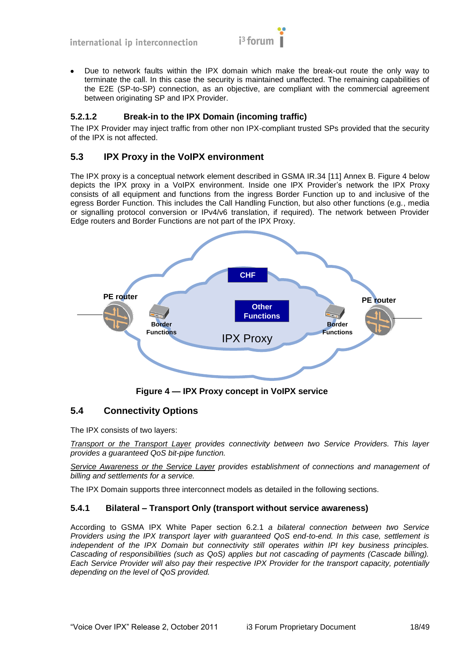

Due to network faults within the IPX domain which make the break-out route the only way to terminate the call. In this case the security is maintained unaffected. The remaining capabilities of the E2E (SP-to-SP) connection, as an objective, are compliant with the commercial agreement between originating SP and IPX Provider.

# **5.2.1.2 Break-in to the IPX Domain (incoming traffic)**

The IPX Provider may inject traffic from other non IPX-compliant trusted SPs provided that the security of the IPX is not affected.

# <span id="page-17-0"></span>**5.3 IPX Proxy in the VoIPX environment**

The IPX proxy is a conceptual network element described in GSMA IR.34 [\[11\]](#page-10-4) Annex B. [Figure 4 below](#page-17-3) depicts the IPX proxy in a VoIPX environment. Inside one IPX Provider's network the IPX Proxy consists of all equipment and functions from the ingress Border Function up to and inclusive of the egress Border Function. This includes the Call Handling Function, but also other functions (e.g., media or signalling protocol conversion or IPv4/v6 translation, if required). The network between Provider Edge routers and Border Functions are not part of the IPX Proxy.



**Figure 4 — IPX Proxy concept in VoIPX service**

# <span id="page-17-3"></span><span id="page-17-1"></span>**5.4 Connectivity Options**

The IPX consists of two layers:

*Transport or the Transport Layer provides connectivity between two Service Providers. This layer provides a guaranteed QoS bit-pipe function.*

*Service Awareness or the Service Layer provides establishment of connections and management of billing and settlements for a service.*

The IPX Domain supports three interconnect models as detailed in the following sections.

#### <span id="page-17-2"></span>**5.4.1 Bilateral – Transport Only (transport without service awareness)**

According to GSMA IPX White Paper section 6.2.1 *a bilateral connection between two Service Providers using the IPX transport layer with guaranteed QoS end-to-end. In this case, settlement is independent of the IPX Domain but connectivity still operates within IPI key business principles. Cascading of responsibilities (such as QoS) applies but not cascading of payments (Cascade billing). Each Service Provider will also pay their respective IPX Provider for the transport capacity, potentially depending on the level of QoS provided.*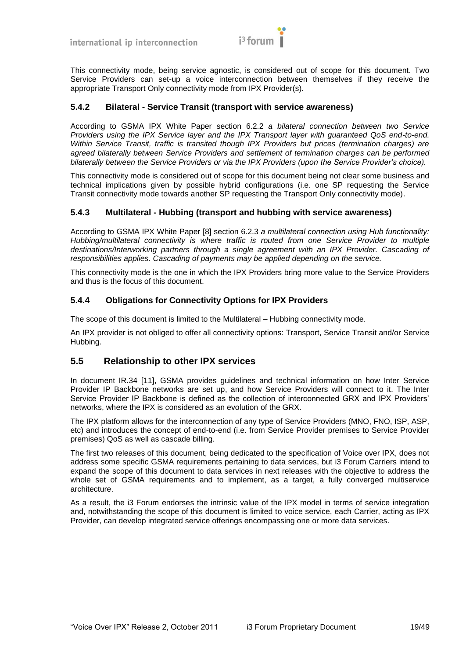

This connectivity mode, being service agnostic, is considered out of scope for this document. Two Service Providers can set-up a voice interconnection between themselves if they receive the appropriate Transport Only connectivity mode from IPX Provider(s).

#### <span id="page-18-0"></span>**5.4.2 Bilateral - Service Transit (transport with service awareness)**

According to GSMA IPX White Paper section 6.2.2 *a bilateral connection between two Service Providers using the IPX Service layer and the IPX Transport layer with guaranteed QoS end-to-end. Within Service Transit, traffic is transited though IPX Providers but prices (termination charges) are agreed bilaterally between Service Providers and settlement of termination charges can be performed bilaterally between the Service Providers or via the IPX Providers (upon the Service Provider's choice).*

This connectivity mode is considered out of scope for this document being not clear some business and technical implications given by possible hybrid configurations (i.e. one SP requesting the Service Transit connectivity mode towards another SP requesting the Transport Only connectivity mode).

#### <span id="page-18-1"></span>**5.4.3 Multilateral - Hubbing (transport and hubbing with service awareness)**

According to GSMA IPX White Paper [\[8\]](#page-10-1) section 6.2.3 *a multilateral connection using Hub functionality: Hubbing/multilateral connectivity is where traffic is routed from one Service Provider to multiple destinations/Interworking partners through a single agreement with an IPX Provider. Cascading of responsibilities applies. Cascading of payments may be applied depending on the service.*

This connectivity mode is the one in which the IPX Providers bring more value to the Service Providers and thus is the focus of this document.

#### <span id="page-18-2"></span>**5.4.4 Obligations for Connectivity Options for IPX Providers**

The scope of this document is limited to the Multilateral – Hubbing connectivity mode.

An IPX provider is not obliged to offer all connectivity options: Transport, Service Transit and/or Service Hubbing.

# <span id="page-18-3"></span>**5.5 Relationship to other IPX services**

In document IR.34 [\[11\],](#page-10-4) GSMA provides guidelines and technical information on how Inter Service Provider IP Backbone networks are set up, and how Service Providers will connect to it. The Inter Service Provider IP Backbone is defined as the collection of interconnected GRX and IPX Providers' networks, where the IPX is considered as an evolution of the GRX.

The IPX platform allows for the interconnection of any type of Service Providers (MNO, FNO, ISP, ASP, etc) and introduces the concept of end-to-end (i.e. from Service Provider premises to Service Provider premises) QoS as well as cascade billing.

The first two releases of this document, being dedicated to the specification of Voice over IPX, does not address some specific GSMA requirements pertaining to data services, but i3 Forum Carriers intend to expand the scope of this document to data services in next releases with the objective to address the whole set of GSMA requirements and to implement, as a target, a fully converged multiservice architecture.

As a result, the i3 Forum endorses the intrinsic value of the IPX model in terms of service integration and, notwithstanding the scope of this document is limited to voice service, each Carrier, acting as IPX Provider, can develop integrated service offerings encompassing one or more data services.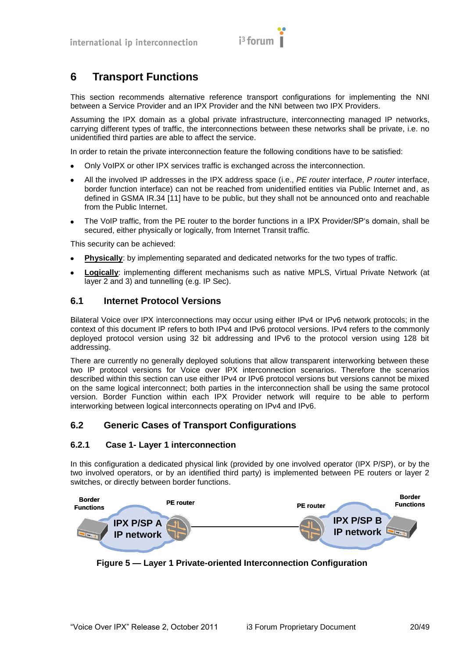

# <span id="page-19-0"></span>**6 Transport Functions**

This section recommends alternative reference transport configurations for implementing the NNI between a Service Provider and an IPX Provider and the NNI between two IPX Providers.

Assuming the IPX domain as a global private infrastructure, interconnecting managed IP networks, carrying different types of traffic, the interconnections between these networks shall be private, i.e. no unidentified third parties are able to affect the service.

In order to retain the private interconnection feature the following conditions have to be satisfied:

- Only VoIPX or other IPX services traffic is exchanged across the interconnection.  $\bullet$
- All the involved IP addresses in the IPX address space (i.e., *PE router* interface, *P router* interface, border function interface) can not be reached from unidentified entities via Public Internet and, as defined in GSMA IR.34 [\[11\]](#page-10-4) have to be public, but they shall not be announced onto and reachable from the Public Internet.
- The VoIP traffic, from the PE router to the border functions in a IPX Provider/SP's domain, shall be secured, either physically or logically, from Internet Transit traffic.

This security can be achieved:

- **Physically**: by implementing separated and dedicated networks for the two types of traffic.
- **Logically**: implementing different mechanisms such as native MPLS, Virtual Private Network (at layer 2 and 3) and tunnelling (e.g. IP Sec).

# <span id="page-19-1"></span>**6.1 Internet Protocol Versions**

Bilateral Voice over IPX interconnections may occur using either IPv4 or IPv6 network protocols; in the context of this document IP refers to both IPv4 and IPv6 protocol versions. IPv4 refers to the commonly deployed protocol version using 32 bit addressing and IPv6 to the protocol version using 128 bit addressing.

There are currently no generally deployed solutions that allow transparent interworking between these two IP protocol versions for Voice over IPX interconnection scenarios. Therefore the scenarios described within this section can use either IPv4 or IPv6 protocol versions but versions cannot be mixed on the same logical interconnect; both parties in the interconnection shall be using the same protocol version. Border Function within each IPX Provider network will require to be able to perform interworking between logical interconnects operating on IPv4 and IPv6.

# <span id="page-19-2"></span>**6.2 Generic Cases of Transport Configurations**

#### <span id="page-19-3"></span>**6.2.1 Case 1- Layer 1 interconnection**

In this configuration a dedicated physical link (provided by one involved operator (IPX P/SP), or by the two involved operators, or by an identified third party) is implemented between PE routers or layer 2 switches, or directly between border functions.



**Figure 5 — Layer 1 Private-oriented Interconnection Configuration**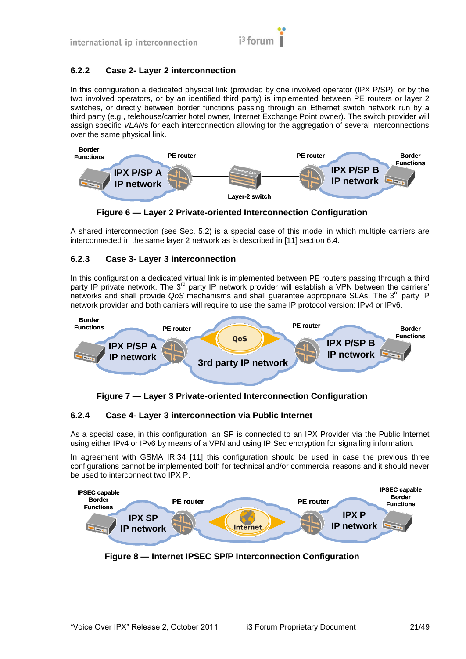

# <span id="page-20-0"></span>**6.2.2 Case 2- Layer 2 interconnection**

In this configuration a dedicated physical link (provided by one involved operator (IPX P/SP), or by the two involved operators, or by an identified third party) is implemented between PE routers or layer 2 switches, or directly between border functions passing through an Ethernet switch network run by a third party (e.g., telehouse/carrier hotel owner, Internet Exchange Point owner). The switch provider will assign specific *VLAN*s for each interconnection allowing for the aggregation of several interconnections over the same physical link.



**Figure 6 — Layer 2 Private-oriented Interconnection Configuration**

A shared interconnection (see Sec. 5.2) is a special case of this model in which multiple carriers are interconnected in the same layer 2 network as is described in [\[11\]](#page-10-4) section 6.4.

# <span id="page-20-1"></span>**6.2.3 Case 3- Layer 3 interconnection**

In this configuration a dedicated virtual link is implemented between PE routers passing through a third party IP private network. The 3<sup>rd</sup> party IP network provider will establish a VPN between the carriers' networks and shall provide *QoS* mechanisms and shall guarantee appropriate SLAs. The 3<sup>rd</sup> party IP network provider and both carriers will require to use the same IP protocol version: IPv4 or IPv6.



**Figure 7 — Layer 3 Private-oriented Interconnection Configuration**

# <span id="page-20-2"></span>**6.2.4 Case 4- Layer 3 interconnection via Public Internet**

As a special case, in this configuration, an SP is connected to an IPX Provider via the Public Internet using either IPv4 or IPv6 by means of a VPN and using IP Sec encryption for signalling information.

In agreement with GSMA IR.34 [\[11\]](#page-10-4) this configuration should be used in case the previous three configurations cannot be implemented both for technical and/or commercial reasons and it should never be used to interconnect two IPX P.



**Figure 8 — Internet IPSEC SP/P Interconnection Configuration**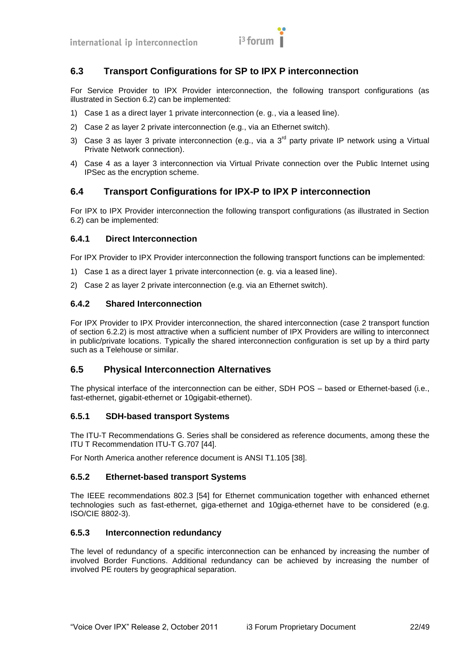# <span id="page-21-0"></span>**6.3 Transport Configurations for SP to IPX P interconnection**

For Service Provider to IPX Provider interconnection, the following transport configurations (as illustrated in Section [6.2\)](#page-19-2) can be implemented:

- 1) Case 1 as a direct layer 1 private interconnection (e. g., via a leased line).
- 2) Case 2 as layer 2 private interconnection (e.g., via an Ethernet switch).
- 3) Case 3 as laver 3 private interconnection (e.g., via a  $3<sup>rd</sup>$  party private IP network using a Virtual Private Network connection).
- 4) Case 4 as a layer 3 interconnection via Virtual Private connection over the Public Internet using IPSec as the encryption scheme.

# <span id="page-21-1"></span>**6.4 Transport Configurations for IPX-P to IPX P interconnection**

For IPX to IPX Provider interconnection the following transport configurations (as illustrated in Section [6.2\)](#page-19-2) can be implemented:

#### <span id="page-21-2"></span>**6.4.1 Direct Interconnection**

For IPX Provider to IPX Provider interconnection the following transport functions can be implemented:

- 1) Case 1 as a direct layer 1 private interconnection (e. g. via a leased line).
- 2) Case 2 as layer 2 private interconnection (e.g. via an Ethernet switch).

#### <span id="page-21-3"></span>**6.4.2 Shared Interconnection**

For IPX Provider to IPX Provider interconnection, the shared interconnection (case 2 transport function of section [6.2.2\)](#page-20-0) is most attractive when a sufficient number of IPX Providers are willing to interconnect in public/private locations. Typically the shared interconnection configuration is set up by a third party such as a Telehouse or similar.

# <span id="page-21-4"></span>**6.5 Physical Interconnection Alternatives**

The physical interface of the interconnection can be either, SDH POS – based or Ethernet-based (i.e., fast-ethernet, gigabit-ethernet or 10gigabit-ethernet).

#### <span id="page-21-5"></span>**6.5.1 SDH-based transport Systems**

The ITU-T Recommendations G. Series shall be considered as reference documents, among these the ITU T Recommendation ITU-T G.707 [\[44\].](#page-11-0)

For North America another reference document is ANSI T1.105 [\[38\].](#page-11-1)

#### <span id="page-21-6"></span>**6.5.2 Ethernet-based transport Systems**

The IEEE recommendations 802.3 [\[54\]](#page-12-0) for Ethernet communication together with enhanced ethernet technologies such as fast-ethernet, giga-ethernet and 10giga-ethernet have to be considered (e.g. ISO/CIE 8802-3).

#### <span id="page-21-7"></span>**6.5.3 Interconnection redundancy**

The level of redundancy of a specific interconnection can be enhanced by increasing the number of involved Border Functions. Additional redundancy can be achieved by increasing the number of involved PE routers by geographical separation.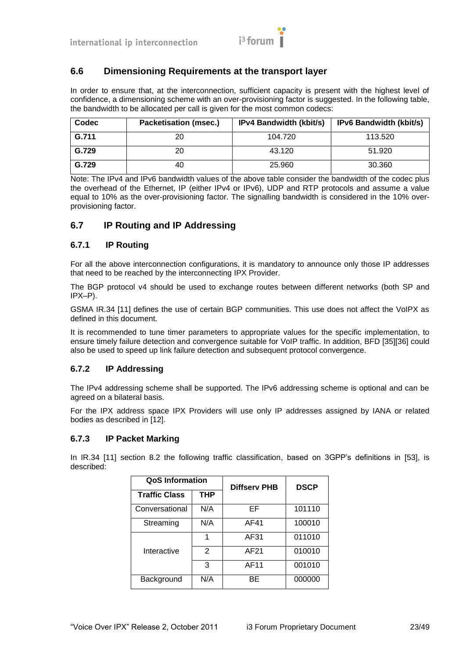

# <span id="page-22-0"></span>**6.6 Dimensioning Requirements at the transport layer**

In order to ensure that, at the interconnection, sufficient capacity is present with the highest level of confidence, a dimensioning scheme with an over-provisioning factor is suggested. In the following table, the bandwidth to be allocated per call is given for the most common codecs:

| Codec | <b>Packetisation (msec.)</b> | <b>IPv4 Bandwidth (kbit/s)</b> | <b>IPv6 Bandwidth (kbit/s)</b> |
|-------|------------------------------|--------------------------------|--------------------------------|
| G.711 | 20                           | 104.720                        | 113.520                        |
| G.729 | 20                           | 43.120                         | 51.920                         |
| G.729 | 40                           | 25.960                         | 30.360                         |

Note: The IPv4 and IPv6 bandwidth values of the above table consider the bandwidth of the codec plus the overhead of the Ethernet, IP (either IPv4 or IPv6), UDP and RTP protocols and assume a value equal to 10% as the over-provisioning factor. The signalling bandwidth is considered in the 10% overprovisioning factor.

# <span id="page-22-1"></span>**6.7 IP Routing and IP Addressing**

#### <span id="page-22-2"></span>**6.7.1 IP Routing**

For all the above interconnection configurations, it is mandatory to announce only those IP addresses that need to be reached by the interconnecting IPX Provider.

The BGP protocol v4 should be used to exchange routes between different networks (both SP and IPX–P).

GSMA IR.34 [\[11\]](#page-10-4) defines the use of certain BGP communities. This use does not affect the VoIPX as defined in this document.

It is recommended to tune timer parameters to appropriate values for the specific implementation, to ensure timely failure detection and convergence suitable for VoIP traffic. In addition, BFD [\[35\]\[36\]](#page-11-2) could also be used to speed up link failure detection and subsequent protocol convergence.

#### <span id="page-22-3"></span>**6.7.2 IP Addressing**

The IPv4 addressing scheme shall be supported. The IPv6 addressing scheme is optional and can be agreed on a bilateral basis.

For the IPX address space IPX Providers will use only IP addresses assigned by IANA or related bodies as described in [\[12\].](#page-10-5)

#### <span id="page-22-4"></span>**6.7.3 IP Packet Marking**

In IR.34 [\[11\]](#page-10-4) section 8.2 the following traffic classification, based on 3GPP's definitions in [\[53\],](#page-11-3) is described:

| <b>QoS Information</b> |     | <b>Diffserv PHB</b> | <b>DSCP</b> |  |
|------------------------|-----|---------------------|-------------|--|
| <b>Traffic Class</b>   | THP |                     |             |  |
| Conversational         | N/A | EF                  | 101110      |  |
| Streaming              | N/A | AF41                | 100010      |  |
|                        |     | AF31                | 011010      |  |
| Interactive            | 2   | AF21                | 010010      |  |
|                        | 3   | AF11                | 001010      |  |
| Background             | N/A | ВE                  | 000000      |  |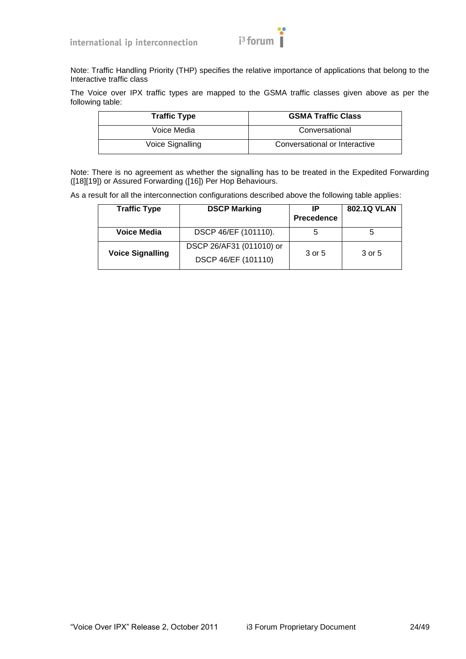

Note: Traffic Handling Priority (THP) specifies the relative importance of applications that belong to the Interactive traffic class

The Voice over IPX traffic types are mapped to the GSMA traffic classes given above as per the following table:

| <b>Traffic Type</b> | <b>GSMA Traffic Class</b>     |  |
|---------------------|-------------------------------|--|
| Voice Media         | Conversational                |  |
| Voice Signalling    | Conversational or Interactive |  |

Note: There is no agreement as whether the signalling has to be treated in the Expedited Forwarding [\(\[18\]\[19\]\)](#page-10-6) or Assured Forwarding [\(\[16\]\)](#page-10-7) Per Hop Behaviours.

As a result for all the interconnection configurations described above the following table applies:

| <b>Traffic Type</b>                                                        | <b>DSCP Marking</b>  | IP<br><b>Precedence</b> | <b>802.1Q VLAN</b> |
|----------------------------------------------------------------------------|----------------------|-------------------------|--------------------|
| Voice Media                                                                | DSCP 46/EF (101110). | 5                       | 5                  |
| DSCP 26/AF31 (011010) or<br><b>Voice Signalling</b><br>DSCP 46/EF (101110) |                      | 3 or 5                  | 3 or 5             |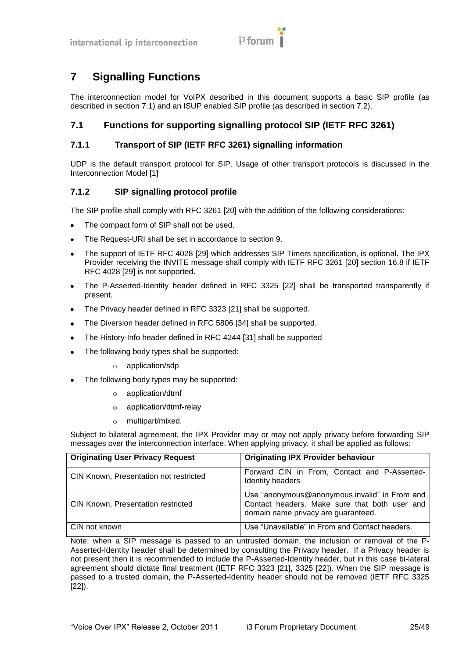

# <span id="page-24-0"></span>**7 Signalling Functions**

The interconnection model for VoIPX described in this document supports a basic SIP profile (as described in section [7.1\)](#page-24-1) and an ISUP enabled SIP profile (as described in section [7.2\)](#page-25-3).

# <span id="page-24-1"></span>**7.1 Functions for supporting signalling protocol SIP (IETF RFC 3261)**

# <span id="page-24-2"></span>**7.1.1 Transport of SIP (IETF RFC 3261) signalling information**

UDP is the default transport protocol for SIP. Usage of other transport protocols is discussed in the Interconnection Model [\[1\]](#page-10-2)

# <span id="page-24-3"></span>**7.1.2 SIP signalling protocol profile**

The SIP profile shall comply with RFC 3261 [\[20\]](#page-10-8) with the addition of the following considerations:

- The compact form of SIP shall not be used.  $\bullet$
- The Request-URI shall be set in accordance to section [9.](#page-32-0)
- The support of IETF RFC 4028 [\[29\]](#page-11-4) which addresses SIP Timers specification, is optional. The IPX  $\bullet$ Provider receiving the INVITE message shall comply with IETF RFC 3261 [\[20\]](#page-10-8) section 16.8 if IETF RFC 4028 [\[29\]](#page-11-4) is not supported**.**
- The P-Asserted-Identity header defined in RFC 3325 [\[22\]](#page-10-9) shall be transported transparently if  $\bullet$ present.
- The Privacy header defined in RFC 3323 [\[21\]](#page-10-10) shall be supported.  $\blacksquare$
- The Diversion header defined in RFC 5806 [\[34\]](#page-11-5) shall be supported.  $\bullet$
- The History-Info header defined in RFC 4244 [\[31\]](#page-11-6) shall be supported  $\bullet$
- The following body types shall be supported:
	- o application/sdp
- The following body types may be supported:
	- o application/dtmf
	- o application/dtmf-relay
	- o multipart/mixed.

Subject to bilateral agreement, the IPX Provider may or may not apply privacy before forwarding SIP messages over the interconnection interface. When applying privacy, it shall be applied as follows:

| <b>Originating User Privacy Request</b>   | <b>Originating IPX Provider behaviour</b>                                                                                             |
|-------------------------------------------|---------------------------------------------------------------------------------------------------------------------------------------|
| CIN Known, Presentation not restricted    | Forward CIN in From, Contact and P-Asserted-<br>Identity headers                                                                      |
| <b>CIN Known, Presentation restricted</b> | Use "anonymous@anonymous.invalid" in From and<br>Contact headers. Make sure that both user and<br>domain name privacy are guaranteed. |
| CIN not known                             | Use "Unavailable" in From and Contact headers.                                                                                        |

Note: when a SIP message is passed to an untrusted domain, the inclusion or removal of the P-Asserted-Identity header shall be determined by consulting the Privacy header. If a Privacy header is not present then it is recommended to include the P-Asserted-Identity header, but in this case bi-lateral agreement should dictate final treatment (IETF RFC 3323 [\[21\],](#page-10-10) 3325 [\[22\]\)](#page-10-9). When the SIP message is passed to a trusted domain, the P-Asserted-Identity header should not be removed (IETF RFC 3325 [\[22\]\)](#page-10-9).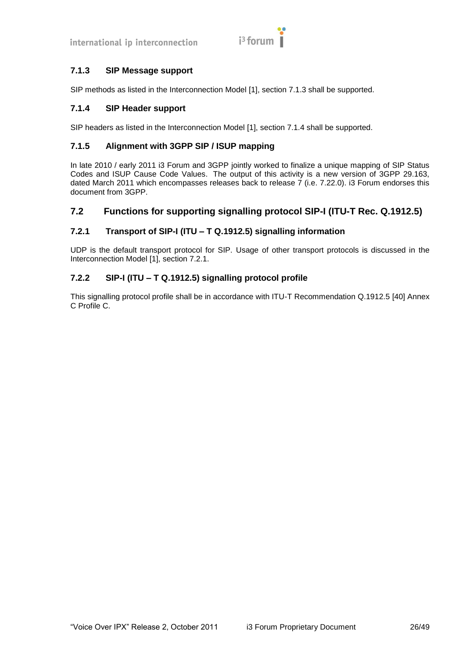

# <span id="page-25-0"></span>**7.1.3 SIP Message support**

SIP methods as listed in the Interconnection Model [\[1\],](#page-10-2) section 7.1.3 shall be supported.

# <span id="page-25-1"></span>**7.1.4 SIP Header support**

SIP headers as listed in the Interconnection Model [\[1\],](#page-10-2) section 7.1.4 shall be supported.

# <span id="page-25-2"></span>**7.1.5 Alignment with 3GPP SIP / ISUP mapping**

In late 2010 / early 2011 i3 Forum and 3GPP jointly worked to finalize a unique mapping of SIP Status Codes and ISUP Cause Code Values. The output of this activity is a new version of 3GPP 29.163, dated March 2011 which encompasses releases back to release 7 (i.e. 7.22.0). i3 Forum endorses this document from 3GPP.

# <span id="page-25-3"></span>**7.2 Functions for supporting signalling protocol SIP-I (ITU-T Rec. Q.1912.5)**

# <span id="page-25-4"></span>**7.2.1 Transport of SIP-I (ITU – T Q.1912.5) signalling information**

UDP is the default transport protocol for SIP. Usage of other transport protocols is discussed in the Interconnection Model [\[1\],](#page-10-2) section 7.2.1.

# <span id="page-25-5"></span>**7.2.2 SIP-I (ITU – T Q.1912.5) signalling protocol profile**

This signalling protocol profile shall be in accordance with ITU-T Recommendation Q.1912.5 [\[40\]](#page-11-7) Annex C Profile C.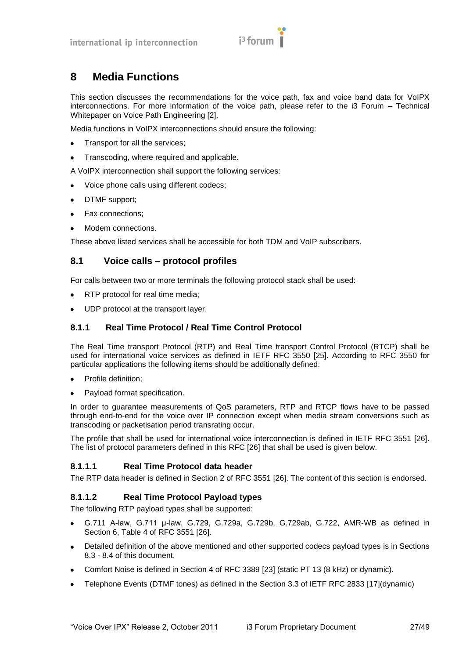

# <span id="page-26-0"></span>**8 Media Functions**

This section discusses the recommendations for the voice path, fax and voice band data for VoIPX interconnections. For more information of the voice path, please refer to the i3 Forum – Technical Whitepaper on Voice Path Engineering [\[2\].](#page-10-11)

Media functions in VoIPX interconnections should ensure the following:

- Transport for all the services;  $\bullet$
- Transcoding, where required and applicable.  $\bullet$

A VoIPX interconnection shall support the following services:

- Voice phone calls using different codecs;  $\bullet$
- DTMF support;  $\bullet$
- $\bullet$ Fax connections;
- Modem connections.

These above listed services shall be accessible for both TDM and VoIP subscribers.

# <span id="page-26-1"></span>**8.1 Voice calls – protocol profiles**

For calls between two or more terminals the following protocol stack shall be used:

- RTP protocol for real time media;
- UDP protocol at the transport layer.

# <span id="page-26-2"></span>**8.1.1 Real Time Protocol / Real Time Control Protocol**

The Real Time transport Protocol (RTP) and Real Time transport Control Protocol (RTCP) shall be used for international voice services as defined in IETF RFC 3550 [\[25\].](#page-10-12) According to RFC 3550 for particular applications the following items should be additionally defined:

- Profile definition;  $\bullet$
- Payload format specification.  $\bullet$

In order to guarantee measurements of QoS parameters, RTP and RTCP flows have to be passed through end-to-end for the voice over IP connection except when media stream conversions such as transcoding or packetisation period transrating occur.

The profile that shall be used for international voice interconnection is defined in IETF RFC 3551 [\[26\].](#page-10-13) The list of protocol parameters defined in this RFC [\[26\]](#page-10-13) that shall be used is given below.

# **8.1.1.1 Real Time Protocol data header**

The RTP data header is defined in Section 2 of RFC 3551 [\[26\].](#page-10-13) The content of this section is endorsed.

# **8.1.1.2 Real Time Protocol Payload types**

The following RTP payload types shall be supported:

- G.711 A-law, G.711 μ-law, G.729, G.729a, G.729b, G.729ab, G.722, AMR-WB as defined in  $\bullet$ Section 6, Table 4 of RFC 3551 [\[26\].](#page-10-13)
- Detailed definition of the above mentioned and other supported codecs payload types is in Sections  $\bullet$ [8.3](#page-28-1) - [8.4](#page-29-0) of this document.
- Comfort Noise is defined in Section 4 of RFC 3389 [\[23\]](#page-10-14) (static PT 13 (8 kHz) or dynamic).
- Telephone Events (DTMF tones) as defined in the Section 3.3 of IETF RFC 2833 [\[17\]\(](#page-10-15)dynamic) $\bullet$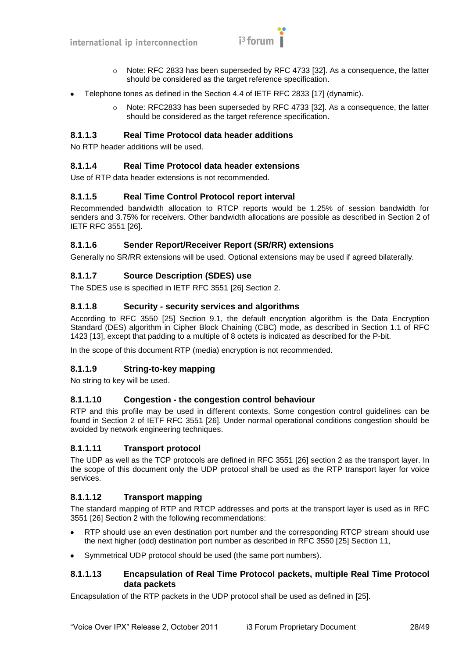

- Note: RFC 2833 has been superseded by RFC 4733 [\[32\].](#page-11-8) As a consequence, the latter should be considered as the target reference specification.
- Telephone tones as defined in the Section 4.4 of IETF RFC 2833 [\[17\]](#page-10-15) (dynamic).
	- $\circ$  Note: RFC2833 has been superseded by RFC 4733 [\[32\].](#page-11-8) As a consequence, the latter should be considered as the target reference specification.

#### **8.1.1.3 Real Time Protocol data header additions**

No RTP header additions will be used.

#### **8.1.1.4 Real Time Protocol data header extensions**

Use of RTP data header extensions is not recommended.

#### **8.1.1.5 Real Time Control Protocol report interval**

Recommended bandwidth allocation to RTCP reports would be 1.25% of session bandwidth for senders and 3.75% for receivers. Other bandwidth allocations are possible as described in Section 2 of IETF RFC 3551 [\[26\].](#page-10-13)

#### **8.1.1.6 Sender Report/Receiver Report (SR/RR) extensions**

Generally no SR/RR extensions will be used. Optional extensions may be used if agreed bilaterally.

# **8.1.1.7 Source Description (SDES) use**

The SDES use is specified in IETF RFC 3551 [\[26\]](#page-10-13) Section 2.

#### **8.1.1.8 Security - security services and algorithms**

According to RFC 3550 [\[25\]](#page-10-12) Section 9.1, the default encryption algorithm is the Data Encryption Standard (DES) algorithm in Cipher Block Chaining (CBC) mode, as described in Section 1.1 of RFC 1423 [\[13\],](#page-10-16) except that padding to a multiple of 8 octets is indicated as described for the P-bit.

In the scope of this document RTP (media) encryption is not recommended.

# **8.1.1.9 String-to-key mapping**

No string to key will be used.

#### **8.1.1.10 Congestion - the congestion control behaviour**

RTP and this profile may be used in different contexts. Some congestion control guidelines can be found in Section 2 of IETF RFC 3551 [\[26\].](#page-10-13) Under normal operational conditions congestion should be avoided by network engineering techniques.

# **8.1.1.11 Transport protocol**

The UDP as well as the TCP protocols are defined in RFC 3551 [\[26\]](#page-10-13) section 2 as the transport layer. In the scope of this document only the UDP protocol shall be used as the RTP transport layer for voice services.

# **8.1.1.12 Transport mapping**

The standard mapping of RTP and RTCP addresses and ports at the transport layer is used as in RFC 3551 [\[26\]](#page-10-13) Section 2 with the following recommendations:

- RTP should use an even destination port number and the corresponding RTCP stream should use  $\bullet$ the next higher (odd) destination port number as described in RFC 3550 [\[25\]](#page-10-12) Section 11,
- Symmetrical UDP protocol should be used (the same port numbers).

#### **8.1.1.13 Encapsulation of Real Time Protocol packets, multiple Real Time Protocol data packets**

Encapsulation of the RTP packets in the UDP protocol shall be used as defined in [\[25\].](#page-10-12)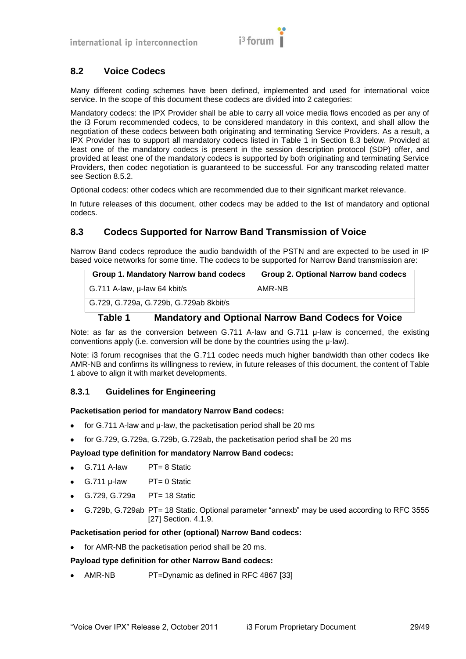

# <span id="page-28-0"></span>**8.2 Voice Codecs**

Many different coding schemes have been defined, implemented and used for international voice service. In the scope of this document these codecs are divided into 2 categories:

Mandatory codecs: the IPX Provider shall be able to carry all voice media flows encoded as per any of the i3 Forum recommended codecs, to be considered mandatory in this context, and shall allow the negotiation of these codecs between both originating and terminating Service Providers. As a result, a IPX Provider has to support all mandatory codecs listed in [Table 1](#page-28-3) in Section [8.3 below.](#page-28-1) Provided at least one of the mandatory codecs is present in the session description protocol (SDP) offer, and provided at least one of the mandatory codecs is supported by both originating and terminating Service Providers, then codec negotiation is guaranteed to be successful. For any transcoding related matter see Section [8.5.2.](#page-30-0)

Optional codecs: other codecs which are recommended due to their significant market relevance.

In future releases of this document, other codecs may be added to the list of mandatory and optional codecs.

# <span id="page-28-1"></span>**8.3 Codecs Supported for Narrow Band Transmission of Voice**

Narrow Band codecs reproduce the audio bandwidth of the PSTN and are expected to be used in IP based voice networks for some time. The codecs to be supported for Narrow Band transmission are:

| Group 1. Mandatory Narrow band codecs  | Group 2. Optional Narrow band codecs |
|----------------------------------------|--------------------------------------|
| G.711 A-law, µ-law 64 kbit/s           | AMR-NB                               |
| G.729, G.729a, G.729b, G.729ab 8kbit/s |                                      |

# **Table 1 Mandatory and Optional Narrow Band Codecs for Voice**

<span id="page-28-3"></span>Note: as far as the conversion between G.711 A-law and G.711 μ-law is concerned, the existing conventions apply (i.e. conversion will be done by the countries using the μ-law).

Note: i3 forum recognises that the G.711 codec needs much higher bandwidth than other codecs like AMR-NB and confirms its willingness to review, in future releases of this document, the content of Table 1 above to align it with market developments.

# <span id="page-28-2"></span>**8.3.1 Guidelines for Engineering**

#### **Packetisation period for mandatory Narrow Band codecs:**

- $\bullet$ for G.711 A-law and μ-law, the packetisation period shall be 20 ms
- for G.729, G.729a, G.729b, G.729ab, the packetisation period shall be 20 ms

#### **Payload type definition for mandatory Narrow Band codecs:**

- G.711 A-law PT= 8 Static
- $G.711 \mu$ -law  $PT = 0$  Static  $\bullet$
- G.729, G.729a PT= 18 Static  $\bullet$
- G.729b, G.729ab PT= 18 Static. Optional parameter "annexb" may be used according to RFC 3555 [\[27\]](#page-10-17) Section. 4.1.9.

#### **Packetisation period for other (optional) Narrow Band codecs:**

for AMR-NB the packetisation period shall be 20 ms.

#### **Payload type definition for other Narrow Band codecs:**

• AMR-NB PT=Dynamic as defined in RFC 4867 [\[33\]](#page-11-9)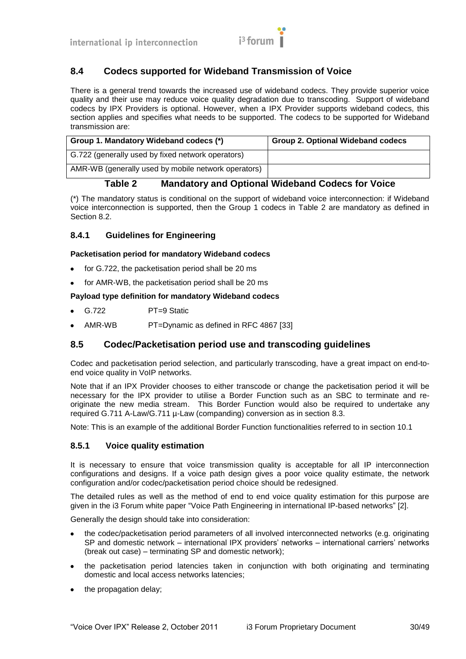

# <span id="page-29-0"></span>**8.4 Codecs supported for Wideband Transmission of Voice**

There is a general trend towards the increased use of wideband codecs. They provide superior voice quality and their use may reduce voice quality degradation due to transcoding. Support of wideband codecs by IPX Providers is optional. However, when a IPX Provider supports wideband codecs, this section applies and specifies what needs to be supported. The codecs to be supported for Wideband transmission are:

| Group 1. Mandatory Wideband codecs (*)              | <b>Group 2. Optional Wideband codecs</b> |
|-----------------------------------------------------|------------------------------------------|
| G.722 (generally used by fixed network operators)   |                                          |
| AMR-WB (generally used by mobile network operators) |                                          |

# **Table 2 Mandatory and Optional Wideband Codecs for Voice**

<span id="page-29-4"></span>(\*) The mandatory status is conditional on the support of wideband voice interconnection: if Wideband voice interconnection is supported, then the Group 1 codecs in [Table 2](#page-29-4) are mandatory as defined in Section [8.2.](#page-28-0)

# <span id="page-29-1"></span>**8.4.1 Guidelines for Engineering**

#### **Packetisation period for mandatory Wideband codecs**

- for G.722, the packetisation period shall be 20 ms  $\bullet$
- for AMR-WB, the packetisation period shall be 20 ms

#### **Payload type definition for mandatory Wideband codecs**

- G.722 PT=9 Static
- AMR-WB PT=Dynamic as defined in RFC 4867 [\[33\]](#page-11-9)

# <span id="page-29-2"></span>**8.5 Codec/Packetisation period use and transcoding guidelines**

Codec and packetisation period selection, and particularly transcoding, have a great impact on end-toend voice quality in VoIP networks.

Note that if an IPX Provider chooses to either transcode or change the packetisation period it will be necessary for the IPX provider to utilise a Border Function such as an SBC to terminate and reoriginate the new media stream. This Border Function would also be required to undertake any required G.711 A-Law/G.711 µ-Law (companding) conversion as in section [8.3.](#page-28-1)

Note: This is an example of the additional Border Function functionalities referred to in section [10.1](#page-34-1)

#### <span id="page-29-3"></span>**8.5.1 Voice quality estimation**

It is necessary to ensure that voice transmission quality is acceptable for all IP interconnection configurations and designs. If a voice path design gives a poor voice quality estimate, the network configuration and/or codec/packetisation period choice should be redesigned.

The detailed rules as well as the method of end to end voice quality estimation for this purpose are given in the i3 Forum white paper "Voice Path Engineering in international IP-based networks" [\[2\].](#page-10-11)

Generally the design should take into consideration:

- the codec/packetisation period parameters of all involved interconnected networks (e.g. originating SP and domestic network – international IPX providers' networks – international carriers' networks (break out case) – terminating SP and domestic network);
- the packetisation period latencies taken in conjunction with both originating and terminating  $\bullet$ domestic and local access networks latencies;
- the propagation delay;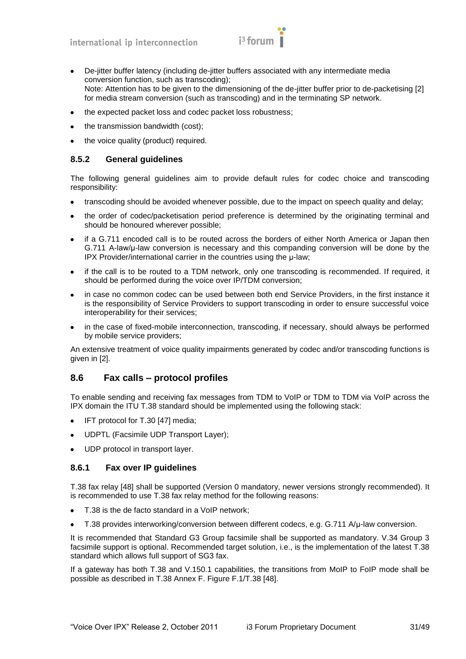$$
i^3 \text{ forum}
$$

- De-jitter buffer latency (including de-jitter buffers associated with any intermediate media conversion function, such as transcoding); Note: Attention has to be given to the dimensioning of the de-jitter buffer prior to de-packetising [\[2\]](#page-10-11) for media stream conversion (such as transcoding) and in the terminating SP network.
- the expected packet loss and codec packet loss robustness;
- the transmission bandwidth (cost);
- the voice quality (product) required.

# <span id="page-30-0"></span>**8.5.2 General guidelines**

The following general guidelines aim to provide default rules for codec choice and transcoding responsibility:

- transcoding should be avoided whenever possible, due to the impact on speech quality and delay;
- the order of codec/packetisation period preference is determined by the originating terminal and  $\bullet$ should be honoured wherever possible;
- if a G.711 encoded call is to be routed across the borders of either North America or Japan then G.711 A-law/μ-law conversion is necessary and this companding conversion will be done by the IPX Provider/international carrier in the countries using the μ-law;
- if the call is to be routed to a TDM network, only one transcoding is recommended. If required, it should be performed during the voice over IP/TDM conversion;
- in case no common codec can be used between both end Service Providers, in the first instance it  $\bullet$ is the responsibility of Service Providers to support transcoding in order to ensure successful voice interoperability for their services;
- in the case of fixed-mobile interconnection, transcoding, if necessary, should always be performed by mobile service providers;

An extensive treatment of voice quality impairments generated by codec and/or transcoding functions is given in [\[2\].](#page-10-11)

# <span id="page-30-1"></span>**8.6 Fax calls – protocol profiles**

To enable sending and receiving fax messages from TDM to VoIP or TDM to TDM via VoIP across the IPX domain the ITU T.38 standard should be implemented using the following stack:

- IFT protocol for T.30 [\[47\]](#page-11-10) media;  $\bullet$
- $\bullet$ UDPTL (Facsimile UDP Transport Layer);
- UDP protocol in transport layer.

# <span id="page-30-2"></span>**8.6.1 Fax over IP guidelines**

T.38 fax relay [\[48\]](#page-11-11) shall be supported (Version 0 mandatory, newer versions strongly recommended). It is recommended to use T.38 fax relay method for the following reasons:

- T.38 is the de facto standard in a VoIP network;
- T.38 provides interworking/conversion between different codecs, e.g. G.711 A/μ-law conversion.  $\bullet$

It is recommended that Standard G3 Group facsimile shall be supported as mandatory. V.34 Group 3 facsimile support is optional. Recommended target solution, i.e., is the implementation of the latest T.38 standard which allows full support of SG3 fax.

If a gateway has both T.38 and V.150.1 capabilities, the transitions from MoIP to FoIP mode shall be possible as described in T.38 Annex F. Figure F.1/T.38 [\[48\].](#page-11-11)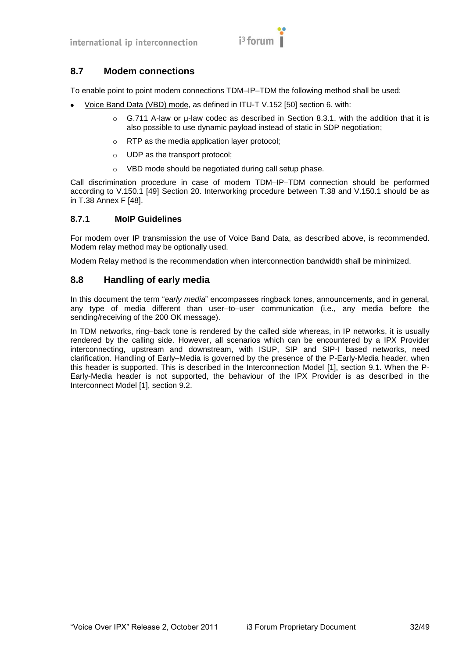

# <span id="page-31-0"></span>**8.7 Modem connections**

To enable point to point modem connections TDM–IP–TDM the following method shall be used:

- Voice Band Data (VBD) mode, as defined in ITU-T V.152 [\[50\]](#page-11-12) section 6. with:
	- G.711 A-law or u-law codec as described in Section [8.3.1,](#page-28-2) with the addition that it is also possible to use dynamic payload instead of static in SDP negotiation;
	- o RTP as the media application layer protocol;
	- o UDP as the transport protocol;
	- o VBD mode should be negotiated during call setup phase.

Call discrimination procedure in case of modem TDM–IP–TDM connection should be performed according to V.150.1 [\[49\]](#page-11-13) Section 20. Interworking procedure between T.38 and V.150.1 should be as in T.38 Annex F [\[48\].](#page-11-11)

#### <span id="page-31-1"></span>**8.7.1 MoIP Guidelines**

For modem over IP transmission the use of Voice Band Data, as described above, is recommended. Modem relay method may be optionally used.

Modem Relay method is the recommendation when interconnection bandwidth shall be minimized.

# <span id="page-31-2"></span>**8.8 Handling of early media**

In this document the term "early media" encompasses ringback tones, announcements, and in general, any type of media different than user–to–user communication (i.e., any media before the sending/receiving of the 200 OK message).

In TDM networks, ring–back tone is rendered by the called side whereas, in IP networks, it is usually rendered by the calling side. However, all scenarios which can be encountered by a IPX Provider interconnecting, upstream and downstream, with ISUP, SIP and SIP-I based networks, need clarification. Handling of Early–Media is governed by the presence of the P-Early-Media header, when this header is supported. This is described in the Interconnection Model [\[1\],](#page-10-2) section 9.1. When the P-Early-Media header is not supported, the behaviour of the IPX Provider is as described in the Interconnect Model [\[1\],](#page-10-2) section 9.2.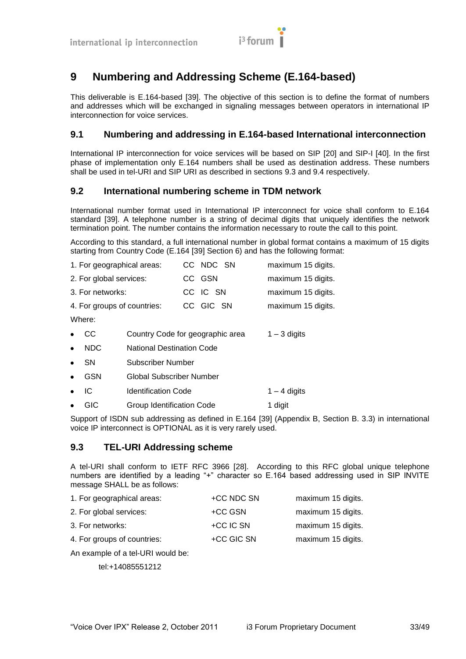# <span id="page-32-0"></span>**9 Numbering and Addressing Scheme (E.164-based)**

This deliverable is E.164-based [\[39\].](#page-11-14) The objective of this section is to define the format of numbers and addresses which will be exchanged in signaling messages between operators in international IP interconnection for voice services.

# <span id="page-32-1"></span>**9.1 Numbering and addressing in E.164-based International interconnection**

International IP interconnection for voice services will be based on SIP [\[20\]](#page-10-8) and SIP-I [\[40\].](#page-11-7) In the first phase of implementation only E.164 numbers shall be used as destination address. These numbers shall be used in tel-URI and SIP URI as described in sections [9.3](#page-32-3) and [9.4](#page-33-0) respectively.

# <span id="page-32-2"></span>**9.2 International numbering scheme in TDM network**

International number format used in International IP interconnect for voice shall conform to E.164 standard [\[39\].](#page-11-14) A telephone number is a string of decimal digits that uniquely identifies the network termination point. The number contains the information necessary to route the call to this point.

According to this standard, a full international number in global format contains a maximum of 15 digits starting from Country Code (E.164 [\[39\]](#page-11-14) Section 6) and has the following format:

|           | 1. For geographical areas:  |                                  |  | CC NDC SN | maximum 15 digits. |
|-----------|-----------------------------|----------------------------------|--|-----------|--------------------|
|           | 2. For global services:     |                                  |  | CC GSN    | maximum 15 digits. |
|           | 3. For networks:            |                                  |  | CC IC SN  | maximum 15 digits. |
|           | 4. For groups of countries: |                                  |  | CC GIC SN | maximum 15 digits. |
| Where:    |                             |                                  |  |           |                    |
|           | <sub>CC</sub>               | Country Code for geographic area |  |           | $1 - 3$ digits     |
| $\bullet$ | <b>NDC</b>                  | <b>National Destination Code</b> |  |           |                    |
|           | <b>SN</b>                   | Subscriber Number                |  |           |                    |
| $\bullet$ | <b>GSN</b>                  | Global Subscriber Number         |  |           |                    |
|           | IC                          | <b>Identification Code</b>       |  |           | $1 - 4$ digits     |
|           | GIC                         | Group Identification Code        |  |           | 1 digit            |

Support of ISDN sub addressing as defined in E.164 [\[39\]](#page-11-14) (Appendix B, Section B. 3.3) in international voice IP interconnect is OPTIONAL as it is very rarely used.

# <span id="page-32-3"></span>**9.3 TEL-URI Addressing scheme**

A tel-URI shall conform to IETF RFC 3966 [\[28\].](#page-11-15) According to this RFC global unique telephone numbers are identified by a leading "+" character so E.164 based addressing used in SIP INVITE message SHALL be as follows:

| +CC NDC SN | maximum 15 digits. |
|------------|--------------------|
| +CC GSN    | maximum 15 digits. |
| +CC IC SN  | maximum 15 digits. |
| +CC GIC SN | maximum 15 digits. |
|            |                    |

An example of a tel-URI would be:

tel:+14085551212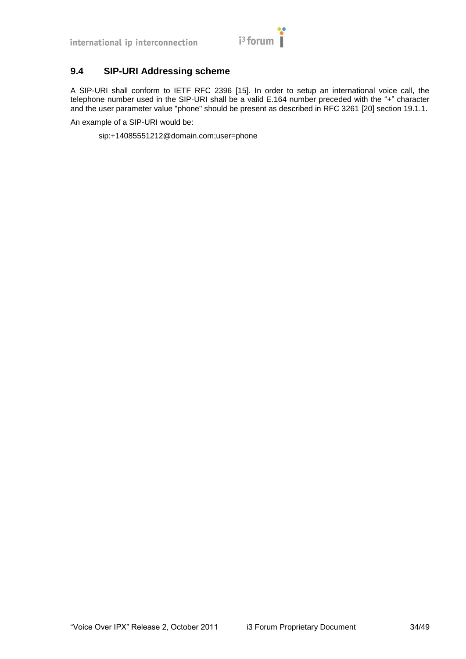

# <span id="page-33-0"></span>**9.4 SIP-URI Addressing scheme**

A SIP-URI shall conform to IETF RFC 2396 [\[15\].](#page-10-18) In order to setup an international voice call, the telephone number used in the SIP-URI shall be a valid E.164 number preceded with the "+" character and the user parameter value "phone" should be present as described in RFC 3261 [\[20\]](#page-10-8) section 19.1.1.

An example of a SIP-URI would be:

sip:+14085551212@domain.com;user=phone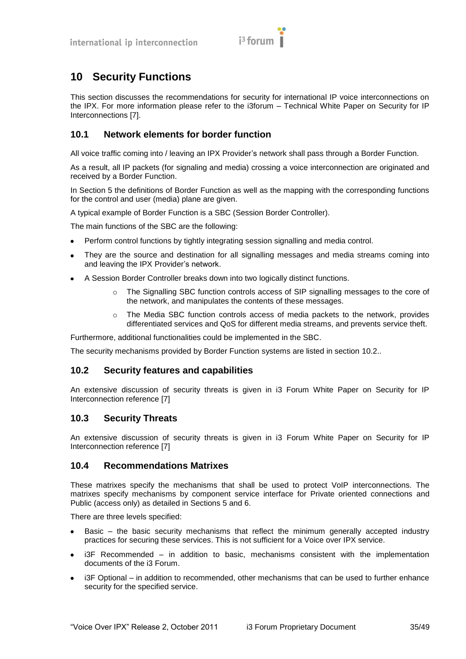

# <span id="page-34-0"></span>**10 Security Functions**

This section discusses the recommendations for security for international IP voice interconnections on the IPX. For more information please refer to the i3forum – Technical White Paper on Security for IP Interconnections [\[7\].](#page-10-19)

# <span id="page-34-1"></span>**10.1 Network elements for border function**

All voice traffic coming into / leaving an IPX Provider's network shall pass through a Border Function.

As a result, all IP packets (for signaling and media) crossing a voice interconnection are originated and received by a Border Function.

In Section [5](#page-14-0) the definitions of Border Function as well as the mapping with the corresponding functions for the control and user (media) plane are given.

A typical example of Border Function is a SBC (Session Border Controller).

The main functions of the SBC are the following:

- Perform control functions by tightly integrating session signalling and media control.  $\bullet$
- They are the source and destination for all signalling messages and media streams coming into and leaving the IPX Provider's network.
- A Session Border Controller breaks down into two logically distinct functions.
	- The Signalling SBC function controls access of SIP signalling messages to the core of the network, and manipulates the contents of these messages.
	- $\circ$  The Media SBC function controls access of media packets to the network, provides differentiated services and QoS for different media streams, and prevents service theft.

Furthermore, additional functionalities could be implemented in the SBC.

The security mechanisms provided by Border Function systems are listed in section [10.2.](#page-34-2).

#### <span id="page-34-2"></span>**10.2 Security features and capabilities**

An extensive discussion of security threats is given in i3 Forum White Paper on Security for IP Interconnection reference [\[7\]](#page-10-19)

# <span id="page-34-3"></span>**10.3 Security Threats**

An extensive discussion of security threats is given in i3 Forum White Paper on Security for IP Interconnection reference [\[7\]](#page-10-19)

#### <span id="page-34-4"></span>**10.4 Recommendations Matrixes**

These matrixes specify the mechanisms that shall be used to protect VoIP interconnections. The matrixes specify mechanisms by component service interface for Private oriented connections and Public (access only) as detailed in Sections [5](#page-14-0) and [6.](#page-19-0)

There are three levels specified:

- Basic the basic security mechanisms that reflect the minimum generally accepted industry practices for securing these services. This is not sufficient for a Voice over IPX service.
- i3F Recommended in addition to basic, mechanisms consistent with the implementation documents of the i3 Forum.
- i3F Optional in addition to recommended, other mechanisms that can be used to further enhance security for the specified service.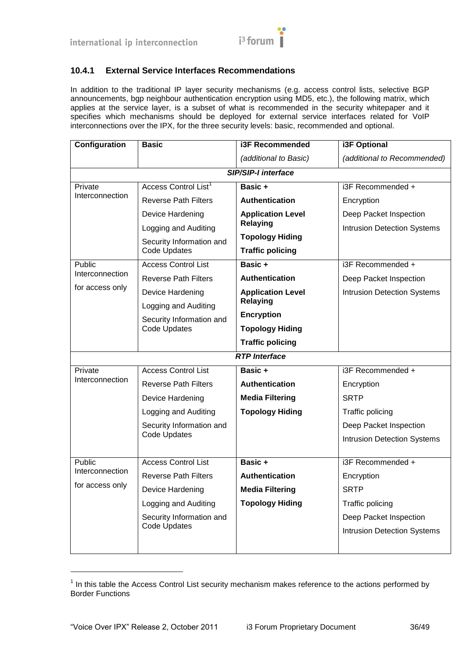

# <span id="page-35-0"></span>**10.4.1 External Service Interfaces Recommendations**

In addition to the traditional IP layer security mechanisms (e.g. access control lists, selective BGP announcements, bgp neighbour authentication encryption using MD5, etc.), the following matrix, which applies at the service layer, is a subset of what is recommended in the security whitepaper and it specifies which mechanisms should be deployed for external service interfaces related for VoIP interconnections over the IPX, for the three security levels: basic, recommended and optional.

| Configuration              | <b>Basic</b>                             | <b>i3F Recommended</b>                            | <b>i3F Optional</b>                |  |
|----------------------------|------------------------------------------|---------------------------------------------------|------------------------------------|--|
|                            |                                          | (additional to Basic)                             | (additional to Recommended)        |  |
|                            |                                          | <b>SIP/SIP-I interface</b>                        |                                    |  |
| Private                    | Access Control List <sup>1</sup>         | Basic +                                           | i3F Recommended +                  |  |
| Interconnection            | <b>Reverse Path Filters</b>              | <b>Authentication</b>                             | Encryption                         |  |
|                            | Device Hardening                         | <b>Application Level</b><br><b>Relaying</b>       | Deep Packet Inspection             |  |
|                            | Logging and Auditing                     |                                                   | <b>Intrusion Detection Systems</b> |  |
|                            | Security Information and<br>Code Updates | <b>Topology Hiding</b><br><b>Traffic policing</b> |                                    |  |
| Public                     | <b>Access Control List</b>               | Basic +                                           | i3F Recommended +                  |  |
| Interconnection            | <b>Reverse Path Filters</b>              | <b>Authentication</b>                             | Deep Packet Inspection             |  |
| for access only            | Device Hardening                         | <b>Application Level</b>                          | <b>Intrusion Detection Systems</b> |  |
|                            | Logging and Auditing                     | <b>Relaying</b>                                   |                                    |  |
|                            | Security Information and<br>Code Updates | <b>Encryption</b>                                 |                                    |  |
|                            |                                          | <b>Topology Hiding</b>                            |                                    |  |
|                            |                                          | <b>Traffic policing</b>                           |                                    |  |
|                            |                                          | <b>RTP</b> Interface                              |                                    |  |
| Private<br>Interconnection | <b>Access Control List</b>               | Basic +                                           | i3F Recommended +                  |  |
|                            | <b>Reverse Path Filters</b>              | <b>Authentication</b>                             | Encryption                         |  |
|                            | Device Hardening                         | <b>Media Filtering</b>                            | <b>SRTP</b>                        |  |
|                            | Logging and Auditing                     | <b>Topology Hiding</b>                            | Traffic policing                   |  |
|                            | Security Information and                 |                                                   | Deep Packet Inspection             |  |
|                            | <b>Code Updates</b>                      |                                                   | <b>Intrusion Detection Systems</b> |  |
|                            |                                          |                                                   |                                    |  |
| Public<br>Interconnection  | <b>Access Control List</b>               | Basic +                                           | i3F Recommended +                  |  |
| for access only            | <b>Reverse Path Filters</b>              | Authentication                                    | Encryption                         |  |
|                            | Device Hardening                         | <b>Media Filtering</b>                            | <b>SRTP</b>                        |  |
|                            | Logging and Auditing                     | <b>Topology Hiding</b>                            | Traffic policing                   |  |
|                            | Security Information and                 |                                                   | Deep Packet Inspection             |  |
|                            | <b>Code Updates</b>                      |                                                   | <b>Intrusion Detection Systems</b> |  |
|                            |                                          |                                                   |                                    |  |

 $1$  In this table the Access Control List security mechanism makes reference to the actions performed by Border Functions

l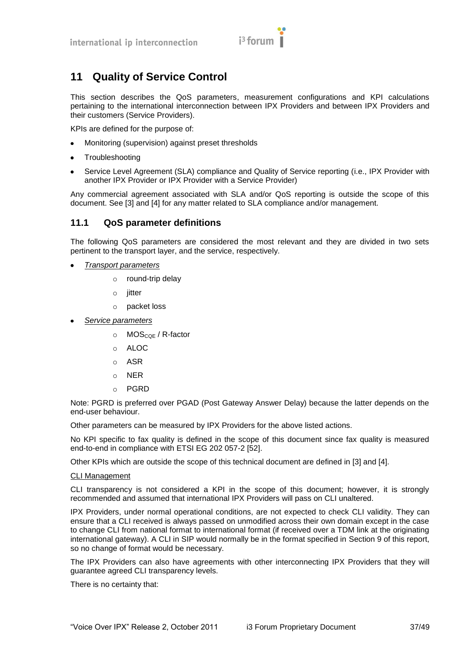

# <span id="page-36-0"></span>**11 Quality of Service Control**

This section describes the QoS parameters, measurement configurations and KPI calculations pertaining to the international interconnection between IPX Providers and between IPX Providers and their customers (Service Providers).

KPIs are defined for the purpose of:

- Monitoring (supervision) against preset thresholds  $\bullet$
- **Troubleshooting**  $\bullet$
- $\bullet$ Service Level Agreement (SLA) compliance and Quality of Service reporting (i.e., IPX Provider with another IPX Provider or IPX Provider with a Service Provider)

Any commercial agreement associated with SLA and/or QoS reporting is outside the scope of this document. See [\[3\]](#page-10-20) and [\[4\]](#page-10-21) for any matter related to SLA compliance and/or management.

# <span id="page-36-1"></span>**11.1 QoS parameter definitions**

The following QoS parameters are considered the most relevant and they are divided in two sets pertinent to the transport layer, and the service, respectively.

- *Transport parameters*
	- o round-trip delay
	- $\circ$  iitter
	- o packet loss
- *Service parameters*
	- $\circ$  MOS<sub>COF</sub> / R-factor
	- o ALOC
	- o ASR
	- o NER
	- o PGRD

Note: PGRD is preferred over PGAD (Post Gateway Answer Delay) because the latter depends on the end-user behaviour.

Other parameters can be measured by IPX Providers for the above listed actions.

No KPI specific to fax quality is defined in the scope of this document since fax quality is measured end-to-end in compliance with ETSI EG 202 057-2 [\[52\].](#page-11-16)

Other KPIs which are outside the scope of this technical document are defined in [\[3\]](#page-10-20) and [\[4\].](#page-10-21)

#### CLI Management

CLI transparency is not considered a KPI in the scope of this document; however, it is strongly recommended and assumed that international IPX Providers will pass on CLI unaltered.

IPX Providers, under normal operational conditions, are not expected to check CLI validity. They can ensure that a CLI received is always passed on unmodified across their own domain except in the case to change CLI from national format to international format (if received over a TDM link at the originating international gateway). A CLI in SIP would normally be in the format specified in Section [9](#page-32-0) of this report, so no change of format would be necessary.

The IPX Providers can also have agreements with other interconnecting IPX Providers that they will guarantee agreed CLI transparency levels.

There is no certainty that: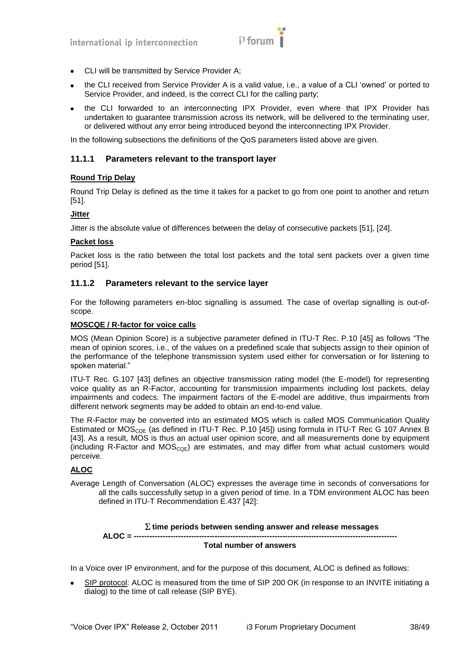

- CLI will be transmitted by Service Provider A;
- the CLI received from Service Provider A is a valid value, i.e., a value of a CLI 'owned' or ported to Service Provider, and indeed, is the correct CLI for the calling party;
- the CLI forwarded to an interconnecting IPX Provider, even where that IPX Provider has  $\bullet$ undertaken to guarantee transmission across its network, will be delivered to the terminating user, or delivered without any error being introduced beyond the interconnecting IPX Provider.

In the following subsections the definitions of the QoS parameters listed above are given.

#### <span id="page-37-0"></span>**11.1.1 Parameters relevant to the transport layer**

#### **Round Trip Delay**

Round Trip Delay is defined as the time it takes for a packet to go from one point to another and return [\[51\].](#page-11-17)

#### **Jitter**

Jitter is the absolute value of differences between the delay of consecutive packets [\[51\],](#page-11-17) [\[24\].](#page-10-22)

#### **Packet loss**

Packet loss is the ratio between the total lost packets and the total sent packets over a given time period [\[51\].](#page-11-17)

#### <span id="page-37-1"></span>**11.1.2 Parameters relevant to the service layer**

For the following parameters en-bloc signalling is assumed. The case of overlap signalling is out-ofscope.

#### **MOSCQE / R-factor for voice calls**

MOS (Mean Opinion Score) is a subjective parameter defined in ITU-T Rec. P.10 [\[45\]](#page-11-18) as follows "The mean of opinion scores, i.e., of the values on a predefined scale that subjects assign to their opinion of the performance of the telephone transmission system used either for conversation or for listening to spoken material."

ITU-T Rec. G.107 [\[43\]](#page-11-19) defines an objective transmission rating model (the E-model) for representing voice quality as an R-Factor, accounting for transmission impairments including lost packets, delay impairments and codecs. The impairment factors of the E-model are additive, thus impairments from different network segments may be added to obtain an end-to-end value.

The R-Factor may be converted into an estimated MOS which is called MOS Communication Quality Estimated or  $MOS<sub>COE</sub>$  (as defined in ITU-T Rec. P.10 [\[45\]\)](#page-11-18) using formula in ITU-T Rec G 107 Annex B [\[43\].](#page-11-19) As a result, MOS is thus an actual user opinion score, and all measurements done by equipment (including R-Factor and  $MOS_{CQE}$ ) are estimates, and may differ from what actual customers would perceive.

#### **ALOC**

**ALOC = -----------------------------------------------------------------------------------------------------**

Average Length of Conversation (ALOC) expresses the average time in seconds of conversations for all the calls successfully setup in a given period of time. In a TDM environment ALOC has been defined in ITU-T Recommendation E.437 [\[42\]:](#page-11-20)

#### **time periods between sending answer and release messages**

#### **Total number of answers**

In a Voice over IP environment, and for the purpose of this document, ALOC is defined as follows:

SIP protocol: ALOC is measured from the time of SIP 200 OK (in response to an INVITE initiating a dialog) to the time of call release (SIP BYE).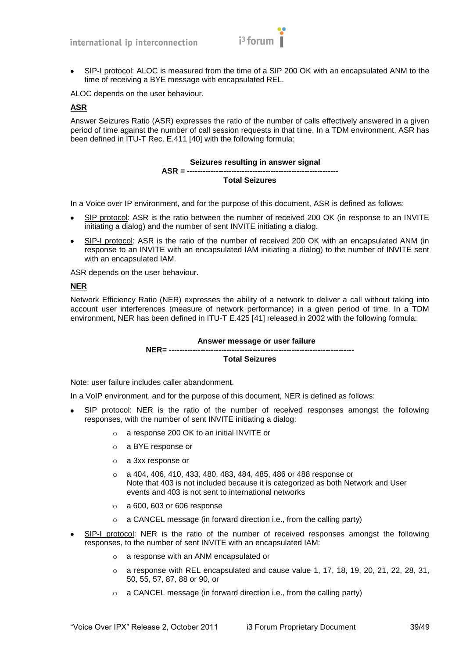$$
i^3 \text{ forum} \bigg\}^{\bullet}
$$

SIP-I protocol: ALOC is measured from the time of a SIP 200 OK with an encapsulated ANM to the time of receiving a BYE message with encapsulated REL.

ALOC depends on the user behaviour.

#### **ASR**

Answer Seizures Ratio (ASR) expresses the ratio of the number of calls effectively answered in a given period of time against the number of call session requests in that time. In a TDM environment, ASR has been defined in ITU-T Rec. E.411 [\[40\]](#page-11-7) with the following formula:

#### **Seizures resulting in answer signal**

#### **Total Seizures**

In a Voice over IP environment, and for the purpose of this document, ASR is defined as follows:

**ASR = ----------------------------------------------------------**

- SIP protocol: ASR is the ratio between the number of received 200 OK (in response to an INVITE initiating a dialog) and the number of sent INVITE initiating a dialog.
- SIP-I protocol: ASR is the ratio of the number of received 200 OK with an encapsulated ANM (in  $\bullet$ response to an INVITE with an encapsulated IAM initiating a dialog) to the number of INVITE sent with an encapsulated IAM.

ASR depends on the user behaviour.

# **NER**

Network Efficiency Ratio (NER) expresses the ability of a network to deliver a call without taking into account user interferences (measure of network performance) in a given period of time. In a TDM environment, NER has been defined in ITU-T E.425 [\[41\]](#page-11-21) released in 2002 with the following formula:

#### **Answer message or user failure NER= ----------------------------------------------------------------------- Total Seizures**

Note: user failure includes caller abandonment.

In a VoIP environment, and for the purpose of this document, NER is defined as follows:

- SIP protocol: NER is the ratio of the number of received responses amongst the following responses, with the number of sent INVITE initiating a dialog:
	- o a response 200 OK to an initial INVITE or
	- o a BYE response or
	- o a 3xx response or
	- o a 404, 406, 410, 433, 480, 483, 484, 485, 486 or 488 response or Note that 403 is not included because it is categorized as both Network and User events and 403 is not sent to international networks
	- o a 600, 603 or 606 response
	- o a CANCEL message (in forward direction i.e., from the calling party)
- SIP-I protocol: NER is the ratio of the number of received responses amongst the following responses, to the number of sent INVITE with an encapsulated IAM:
	- o a response with an ANM encapsulated or
	- $\circ$  a response with REL encapsulated and cause value 1, 17, 18, 19, 20, 21, 22, 28, 31, 50, 55, 57, 87, 88 or 90, or
	- $\circ$  a CANCEL message (in forward direction i.e., from the calling party)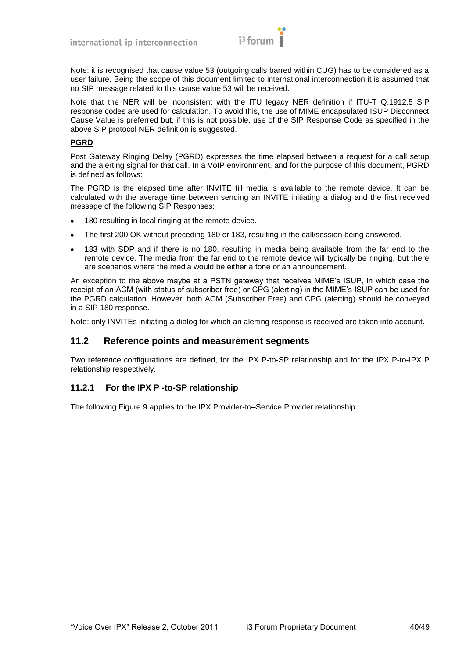

Note: it is recognised that cause value 53 (outgoing calls barred within CUG) has to be considered as a user failure. Being the scope of this document limited to international interconnection it is assumed that no SIP message related to this cause value 53 will be received.

Note that the NER will be inconsistent with the ITU legacy NER definition if ITU-T Q.1912.5 SIP response codes are used for calculation. To avoid this, the use of MIME encapsulated ISUP Disconnect Cause Value is preferred but, if this is not possible, use of the SIP Response Code as specified in the above SIP protocol NER definition is suggested.

#### **PGRD**

Post Gateway Ringing Delay (PGRD) expresses the time elapsed between a request for a call setup and the alerting signal for that call. In a VoIP environment, and for the purpose of this document, PGRD is defined as follows:

The PGRD is the elapsed time after INVITE till media is available to the remote device. It can be calculated with the average time between sending an INVITE initiating a dialog and the first received message of the following SIP Responses:

- 180 resulting in local ringing at the remote device.  $\bullet$
- The first 200 OK without preceding 180 or 183, resulting in the call/session being answered.
- 183 with SDP and if there is no 180, resulting in media being available from the far end to the  $\bullet$ remote device. The media from the far end to the remote device will typically be ringing, but there are scenarios where the media would be either a tone or an announcement.

An exception to the above maybe at a PSTN gateway that receives MIME's ISUP, in which case the receipt of an ACM (with status of subscriber free) or CPG (alerting) in the MIME's ISUP can be used for the PGRD calculation. However, both ACM (Subscriber Free) and CPG (alerting) should be conveyed in a SIP 180 response.

Note: only INVITEs initiating a dialog for which an alerting response is received are taken into account.

#### <span id="page-39-0"></span>**11.2 Reference points and measurement segments**

Two reference configurations are defined, for the IPX P-to-SP relationship and for the IPX P-to-IPX P relationship respectively.

#### <span id="page-39-1"></span>**11.2.1 For the IPX P -to-SP relationship**

The following [Figure 9 a](#page-40-0)pplies to the IPX Provider-to–Service Provider relationship.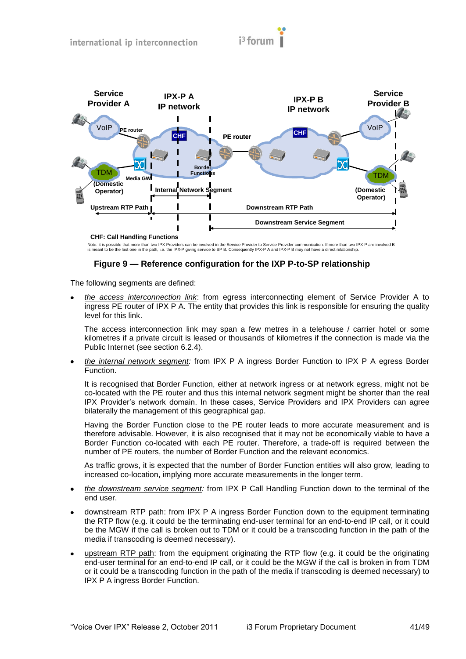

Note: it is possible that more than two IPX Providers can be involved in the Service Provider to Service Provider communication. If more than two IPX-P are involved B is meant to be the last one in the path, i.e. the IPX-P giving service to SP B. Consequently IPX-P A and IPX-P B may not have a direct relationship.

# **Figure 9 — Reference configuration for the IXP P-to-SP relationship**

<span id="page-40-0"></span>The following segments are defined:

*the access interconnection link*: from egress interconnecting element of Service Provider A to ingress PE router of IPX P A. The entity that provides this link is responsible for ensuring the quality level for this link.

The access interconnection link may span a few metres in a telehouse / carrier hotel or some kilometres if a private circuit is leased or thousands of kilometres if the connection is made via the Public Internet (see section 6.2.4).

*the internal network segment:* from IPX P A ingress Border Function to IPX P A egress Border Function.

It is recognised that Border Function, either at network ingress or at network egress, might not be co-located with the PE router and thus this internal network segment might be shorter than the real IPX Provider's network domain. In these cases, Service Providers and IPX Providers can agree bilaterally the management of this geographical gap.

Having the Border Function close to the PE router leads to more accurate measurement and is therefore advisable. However, it is also recognised that it may not be economically viable to have a Border Function co-located with each PE router. Therefore, a trade-off is required between the number of PE routers, the number of Border Function and the relevant economics.

As traffic grows, it is expected that the number of Border Function entities will also grow, leading to increased co-location, implying more accurate measurements in the longer term.

- *the downstream service segment:* from IPX P Call Handling Function down to the terminal of the end user.
- downstream RTP path: from IPX P A ingress Border Function down to the equipment terminating the RTP flow (e.g. it could be the terminating end-user terminal for an end-to-end IP call, or it could be the MGW if the call is broken out to TDM or it could be a transcoding function in the path of the media if transcoding is deemed necessary).
- upstream RTP path: from the equipment originating the RTP flow (e.g. it could be the originating end-user terminal for an end-to-end IP call, or it could be the MGW if the call is broken in from TDM or it could be a transcoding function in the path of the media if transcoding is deemed necessary) to IPX P A ingress Border Function.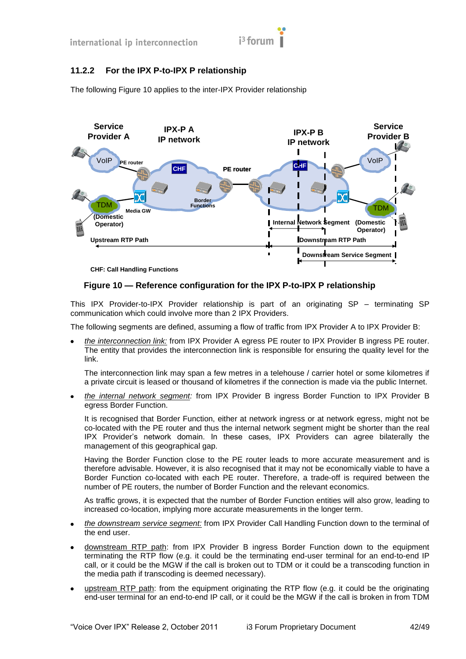# <span id="page-41-0"></span>**11.2.2 For the IPX P-to-IPX P relationship**

The following [Figure 10 a](#page-41-1)pplies to the inter-IPX Provider relationship



**CHF: Call Handling Functions**

# <span id="page-41-1"></span>**Figure 10 — Reference configuration for the IPX P-to-IPX P relationship**

This IPX Provider-to-IPX Provider relationship is part of an originating SP – terminating SP communication which could involve more than 2 IPX Providers.

The following segments are defined, assuming a flow of traffic from IPX Provider A to IPX Provider B:

*the interconnection link:* from IPX Provider A egress PE router to IPX Provider B ingress PE router. The entity that provides the interconnection link is responsible for ensuring the quality level for the link.

The interconnection link may span a few metres in a telehouse / carrier hotel or some kilometres if a private circuit is leased or thousand of kilometres if the connection is made via the public Internet.

*the internal network segment:* from IPX Provider B ingress Border Function to IPX Provider B egress Border Function.

It is recognised that Border Function, either at network ingress or at network egress, might not be co-located with the PE router and thus the internal network segment might be shorter than the real IPX Provider's network domain. In these cases, IPX Providers can agree bilaterally the management of this geographical gap.

Having the Border Function close to the PE router leads to more accurate measurement and is therefore advisable. However, it is also recognised that it may not be economically viable to have a Border Function co-located with each PE router. Therefore, a trade-off is required between the number of PE routers, the number of Border Function and the relevant economics.

As traffic grows, it is expected that the number of Border Function entities will also grow, leading to increased co-location, implying more accurate measurements in the longer term.

- *the downstream service segment:* from IPX Provider Call Handling Function down to the terminal of  $\bullet$ the end user.
- downstream RTP path: from IPX Provider B ingress Border Function down to the equipment terminating the RTP flow (e.g. it could be the terminating end-user terminal for an end-to-end IP call, or it could be the MGW if the call is broken out to TDM or it could be a transcoding function in the media path if transcoding is deemed necessary).
- upstream RTP path: from the equipment originating the RTP flow (e.g. it could be the originating end-user terminal for an end-to-end IP call, or it could be the MGW if the call is broken in from TDM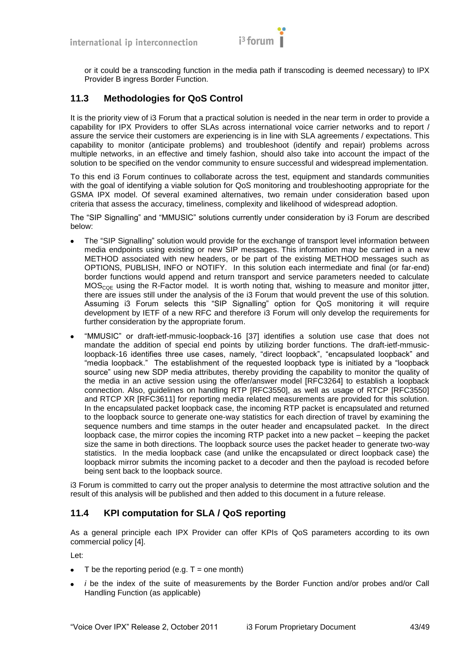

or it could be a transcoding function in the media path if transcoding is deemed necessary) to IPX Provider B ingress Border Function.

# <span id="page-42-0"></span>**11.3 Methodologies for QoS Control**

It is the priority view of i3 Forum that a practical solution is needed in the near term in order to provide a capability for IPX Providers to offer SLAs across international voice carrier networks and to report / assure the service their customers are experiencing is in line with SLA agreements / expectations. This capability to monitor (anticipate problems) and troubleshoot (identify and repair) problems across multiple networks, in an effective and timely fashion, should also take into account the impact of the solution to be specified on the vendor community to ensure successful and widespread implementation.

To this end i3 Forum continues to collaborate across the test, equipment and standards communities with the goal of identifying a viable solution for QoS monitoring and troubleshooting appropriate for the GSMA IPX model. Of several examined alternatives, two remain under consideration based upon criteria that assess the accuracy, timeliness, complexity and likelihood of widespread adoption.

The "SIP Signalling" and "MMUSIC" solutions currently under consideration by i3 Forum are described below:

- The "SIP Signalling" solution would provide for the exchange of transport level information between media endpoints using existing or new SIP messages. This information may be carried in a new METHOD associated with new headers, or be part of the existing METHOD messages such as OPTIONS, PUBLISH, INFO or NOTIFY. In this solution each intermediate and final (or far-end) border functions would append and return transport and service parameters needed to calculate  $MOS<sub>COF</sub>$  using the R-Factor model. It is worth noting that, wishing to measure and monitor jitter, there are issues still under the analysis of the i3 Forum that would prevent the use of this solution. Assuming i3 Forum selects this "SIP Signalling" option for QoS monitoring it will require development by IETF of a new RFC and therefore i3 Forum will only develop the requirements for further consideration by the appropriate forum.
- ―MMUSIC‖ or draft-ietf-mmusic-loopback-16 [\[37\]](#page-11-22) identifies a solution use case that does not mandate the addition of special end points by utilizing border functions. The draft-ietf-mmusicloopback-16 identifies three use cases, namely, "direct loopback", "encapsulated loopback" and "media loopback." The establishment of the requested loopback type is initiated by a "loopback source" using new SDP media attributes, thereby providing the capability to monitor the quality of the media in an active session using the offer/answer model [RFC3264] to establish a loopback connection. Also, guidelines on handling RTP [RFC3550], as well as usage of RTCP [RFC3550] and RTCP XR [RFC3611] for reporting media related measurements are provided for this solution. In the encapsulated packet loopback case, the incoming RTP packet is encapsulated and returned to the loopback source to generate one-way statistics for each direction of travel by examining the sequence numbers and time stamps in the outer header and encapsulated packet. In the direct loopback case, the mirror copies the incoming RTP packet into a new packet – keeping the packet size the same in both directions. The loopback source uses the packet header to generate two-way statistics. In the media loopback case (and unlike the encapsulated or direct loopback case) the loopback mirror submits the incoming packet to a decoder and then the payload is recoded before being sent back to the loopback source.

i3 Forum is committed to carry out the proper analysis to determine the most attractive solution and the result of this analysis will be published and then added to this document in a future release.

# <span id="page-42-1"></span>**11.4 KPI computation for SLA / QoS reporting**

As a general principle each IPX Provider can offer KPIs of QoS parameters according to its own commercial policy [\[4\].](#page-10-21)

Let:

- T be the reporting period (e.g.  $T =$  one month)  $\bullet$
- *i* be the index of the suite of measurements by the Border Function and/or probes and/or Call  $\bullet$ Handling Function (as applicable)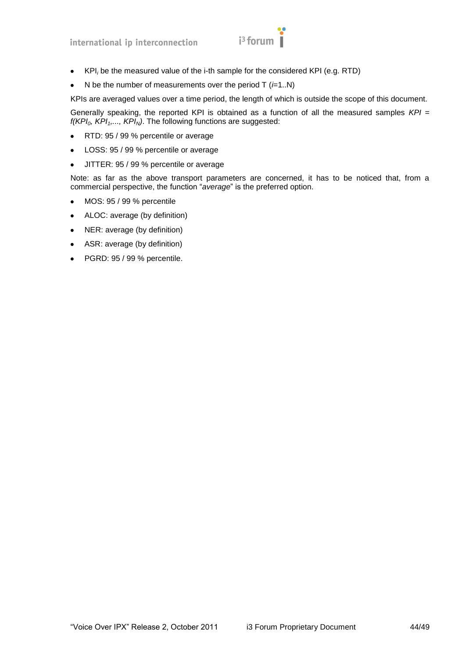$$
i^3 \text{form}
$$

- KPI*<sup>i</sup>* be the measured value of the i-th sample for the considered KPI (e.g. RTD)  $\bullet$
- N be the number of measurements over the period T (*i*=1..N)  $\bullet$

KPIs are averaged values over a time period, the length of which is outside the scope of this document.

Generally speaking, the reported KPI is obtained as a function of all the measured samples *KPI = f(KPI0, KPI1,..., KPIN)*. The following functions are suggested:

- RTD: 95 / 99 % percentile or average  $\bullet$
- LOSS: 95 / 99 % percentile or average  $\bullet$
- JITTER: 95 / 99 % percentile or average  $\bullet$

Note: as far as the above transport parameters are concerned, it has to be noticed that, from a commercial perspective, the function "average" is the preferred option.

- MOS: 95 / 99 % percentile  $\bullet$
- $\bullet$ ALOC: average (by definition)
- NER: average (by definition)  $\bullet$
- $\bullet$ ASR: average (by definition)
- PGRD: 95 / 99 % percentile. $\bullet$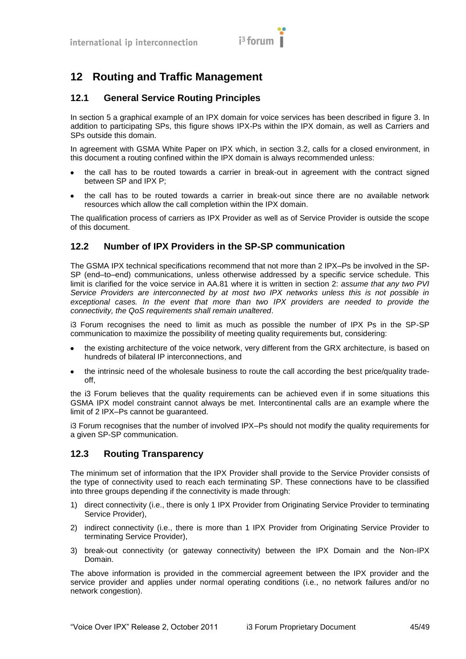# <span id="page-44-0"></span>**12 Routing and Traffic Management**

# <span id="page-44-1"></span>**12.1 General Service Routing Principles**

In section 5 a graphical example of an IPX domain for voice services has been described in figure 3. In addition to participating SPs, this figure shows IPX-Ps within the IPX domain, as well as Carriers and SPs outside this domain.

In agreement with GSMA White Paper on IPX which, in section 3.2, calls for a closed environment, in this document a routing confined within the IPX domain is always recommended unless:

- the call has to be routed towards a carrier in break-out in agreement with the contract signed between SP and IPX P;
- the call has to be routed towards a carrier in break-out since there are no available network resources which allow the call completion within the IPX domain.

The qualification process of carriers as IPX Provider as well as of Service Provider is outside the scope of this document.

# <span id="page-44-2"></span>**12.2 Number of IPX Providers in the SP-SP communication**

The GSMA IPX technical specifications recommend that not more than 2 IPX–Ps be involved in the SP-SP (end–to–end) communications, unless otherwise addressed by a specific service schedule. This limit is clarified for the voice service in AA.81 where it is written in section 2: *assume that any two PVI Service Providers are interconnected by at most two IPX networks unless this is not possible in exceptional cases. In the event that more than two IPX providers are needed to provide the connectivity, the QoS requirements shall remain unaltered*.

i3 Forum recognises the need to limit as much as possible the number of IPX Ps in the SP-SP communication to maximize the possibility of meeting quality requirements but, considering:

- the existing architecture of the voice network, very different from the GRX architecture, is based on  $\bullet$ hundreds of bilateral IP interconnections, and
- the intrinsic need of the wholesale business to route the call according the best price/quality tradeoff,

the i3 Forum believes that the quality requirements can be achieved even if in some situations this GSMA IPX model constraint cannot always be met. Intercontinental calls are an example where the limit of 2 IPX–Ps cannot be guaranteed.

i3 Forum recognises that the number of involved IPX–Ps should not modify the quality requirements for a given SP-SP communication.

# <span id="page-44-3"></span>**12.3 Routing Transparency**

The minimum set of information that the IPX Provider shall provide to the Service Provider consists of the type of connectivity used to reach each terminating SP. These connections have to be classified into three groups depending if the connectivity is made through:

- 1) direct connectivity (i.e., there is only 1 IPX Provider from Originating Service Provider to terminating Service Provider),
- 2) indirect connectivity (i.e., there is more than 1 IPX Provider from Originating Service Provider to terminating Service Provider),
- 3) break-out connectivity (or gateway connectivity) between the IPX Domain and the Non-IPX Domain.

The above information is provided in the commercial agreement between the IPX provider and the service provider and applies under normal operating conditions (i.e., no network failures and/or no network congestion).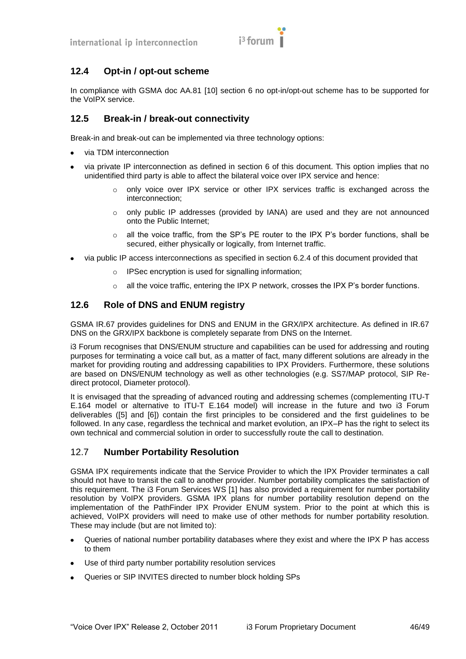

# <span id="page-45-0"></span>**12.4 Opt-in / opt-out scheme**

In compliance with GSMA doc AA.81 [\[10\]](#page-10-23) section 6 no opt-in/opt-out scheme has to be supported for the VoIPX service.

# <span id="page-45-1"></span>**12.5 Break-in / break-out connectivity**

Break-in and break-out can be implemented via three technology options:

- via TDM interconnection
- via private IP interconnection as defined in section 6 of this document. This option implies that no unidentified third party is able to affect the bilateral voice over IPX service and hence:
	- $\circ$  only voice over IPX service or other IPX services traffic is exchanged across the interconnection;
	- o only public IP addresses (provided by IANA) are used and they are not announced onto the Public Internet;
	- $\circ$  all the voice traffic, from the SP's PE router to the IPX P's border functions, shall be secured, either physically or logically, from Internet traffic.
- via public IP access interconnections as specified in section 6.2.4 of this document provided that  $\bullet$ 
	- o IPSec encryption is used for signalling information;
	- $\circ$  all the voice traffic, entering the IPX P network, crosses the IPX P's border functions.

# <span id="page-45-2"></span>**12.6 Role of DNS and ENUM registry**

GSMA IR.67 provides guidelines for DNS and ENUM in the GRX/IPX architecture. As defined in IR.67 DNS on the GRX/IPX backbone is completely separate from DNS on the Internet.

i3 Forum recognises that DNS/ENUM structure and capabilities can be used for addressing and routing purposes for terminating a voice call but, as a matter of fact, many different solutions are already in the market for providing routing and addressing capabilities to IPX Providers. Furthermore, these solutions are based on DNS/ENUM technology as well as other technologies (e.g. SS7/MAP protocol, SIP Redirect protocol, Diameter protocol).

It is envisaged that the spreading of advanced routing and addressing schemes (complementing ITU-T E.164 model or alternative to ITU-T E.164 model) will increase in the future and two i3 Forum deliverables [\(\[5\]](#page-10-24) and [\[6\]\)](#page-10-25) contain the first principles to be considered and the first guidelines to be followed. In any case, regardless the technical and market evolution, an IPX–P has the right to select its own technical and commercial solution in order to successfully route the call to destination.

# <span id="page-45-3"></span>12.7 **Number Portability Resolution**

GSMA IPX requirements indicate that the Service Provider to which the IPX Provider terminates a call should not have to transit the call to another provider. Number portability complicates the satisfaction of this requirement. The i3 Forum Services WS [1] has also provided a requirement for number portability resolution by VoIPX providers. GSMA IPX plans for number portability resolution depend on the implementation of the PathFinder IPX Provider ENUM system. Prior to the point at which this is achieved, VoIPX providers will need to make use of other methods for number portability resolution. These may include (but are not limited to):

- Queries of national number portability databases where they exist and where the IPX P has access to them
- Use of third party number portability resolution services
- Queries or SIP INVITES directed to number block holding SPs $\bullet$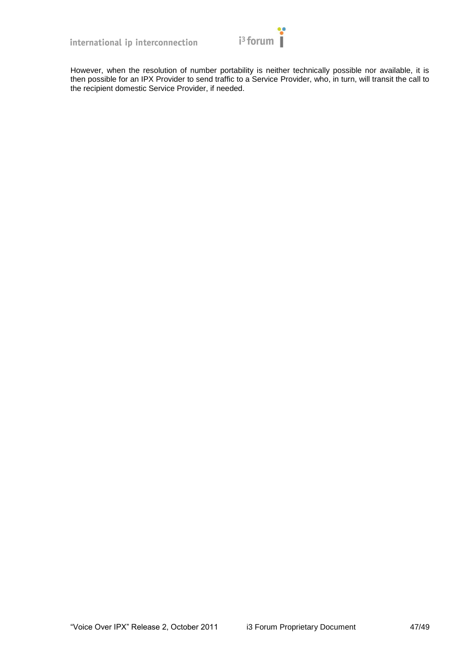

However, when the resolution of number portability is neither technically possible nor available, it is then possible for an IPX Provider to send traffic to a Service Provider, who, in turn, will transit the call to the recipient domestic Service Provider, if needed.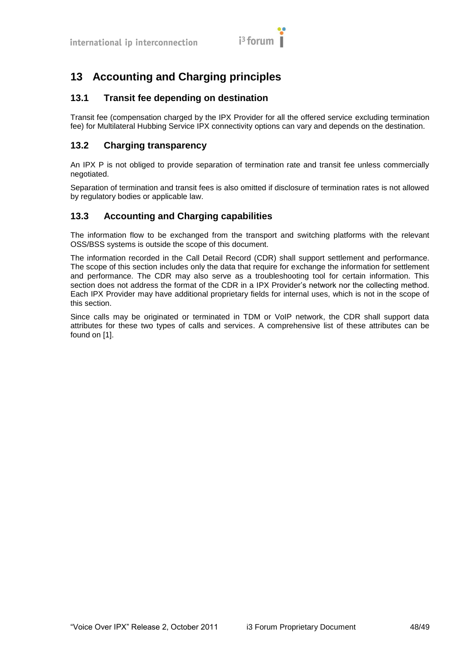

# <span id="page-47-0"></span>**13 Accounting and Charging principles**

# <span id="page-47-1"></span>**13.1 Transit fee depending on destination**

Transit fee (compensation charged by the IPX Provider for all the offered service excluding termination fee) for Multilateral Hubbing Service IPX connectivity options can vary and depends on the destination.

# <span id="page-47-2"></span>**13.2 Charging transparency**

An IPX P is not obliged to provide separation of termination rate and transit fee unless commercially negotiated.

Separation of termination and transit fees is also omitted if disclosure of termination rates is not allowed by regulatory bodies or applicable law.

# <span id="page-47-3"></span>**13.3 Accounting and Charging capabilities**

The information flow to be exchanged from the transport and switching platforms with the relevant OSS/BSS systems is outside the scope of this document.

The information recorded in the Call Detail Record (CDR) shall support settlement and performance. The scope of this section includes only the data that require for exchange the information for settlement and performance. The CDR may also serve as a troubleshooting tool for certain information. This section does not address the format of the CDR in a IPX Provider's network nor the collecting method. Each IPX Provider may have additional proprietary fields for internal uses, which is not in the scope of this section.

Since calls may be originated or terminated in TDM or VoIP network, the CDR shall support data attributes for these two types of calls and services. A comprehensive list of these attributes can be found on [\[1\].](#page-10-2)